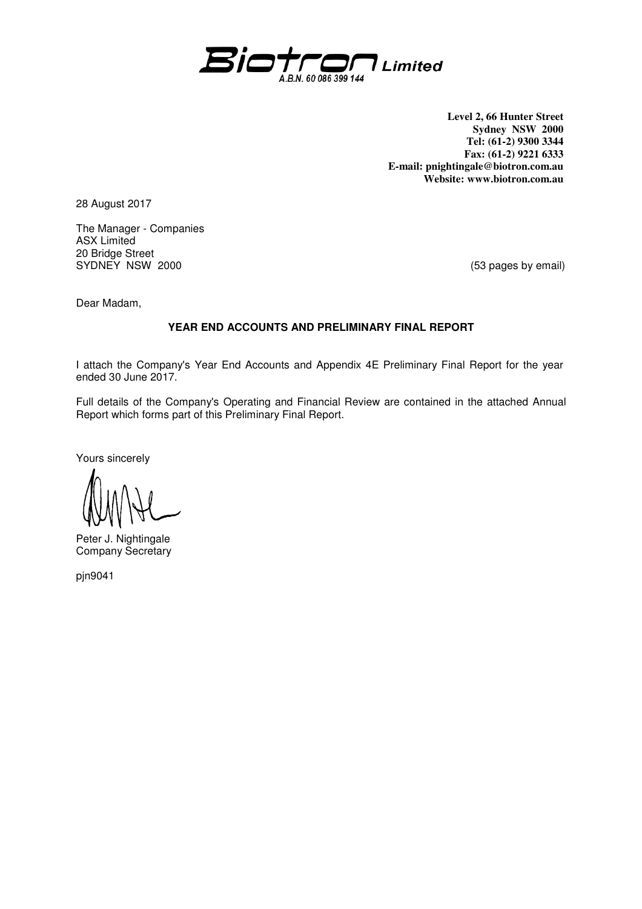

**Level 2, 66 Hunter Street Sydney NSW 2000 Tel: (61-2) 9300 3344 Fax: (61-2) 9221 6333 E-mail: pnightingale@biotron.com.au Website: www.biotron.com.au** 

28 August 2017

The Manager - Companies ASX Limited 20 Bridge Street SYDNEY NSW 2000 8000 CONSERVERSE STREAM (53 pages by email)

Dear Madam,

## **YEAR END ACCOUNTS AND PRELIMINARY FINAL REPORT**

I attach the Company's Year End Accounts and Appendix 4E Preliminary Final Report for the year ended 30 June 2017.

Full details of the Company's Operating and Financial Review are contained in the attached Annual Report which forms part of this Preliminary Final Report.

Yours sincerely

Peter J. Nightingale Company Secretary

pjn9041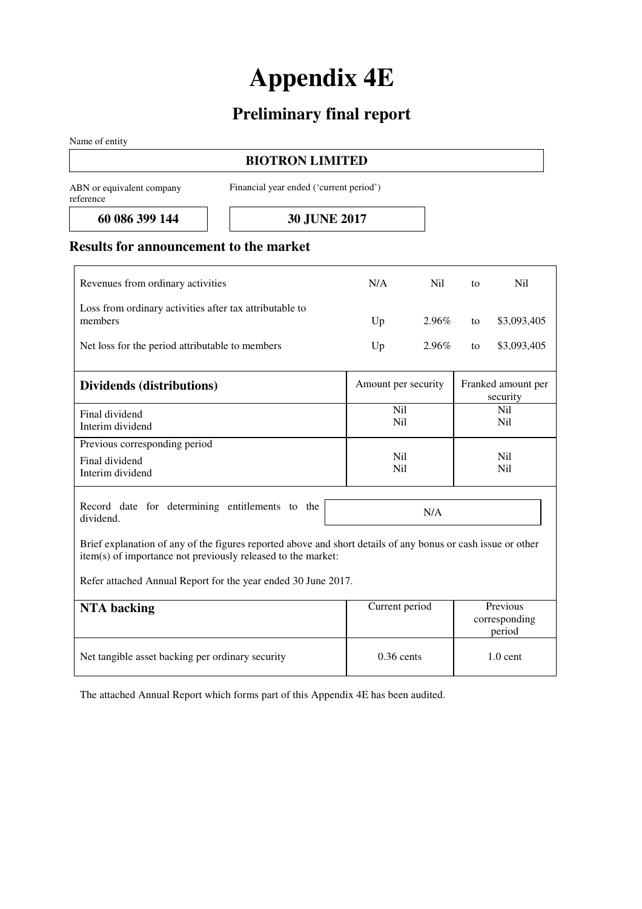# **Appendix 4E**

## **Preliminary final report**

Name of entity

## **BIOTRON LIMITED**

ABN or equivalent company reference

Financial year ended ('current period')

**60 086 399 144 30 JUNE 2017** 

## **Results for announcement to the market**

| Revenues from ordinary activities                                                                                                                                            | N/A                               | Nil   | to | N <sub>i</sub>                      |
|------------------------------------------------------------------------------------------------------------------------------------------------------------------------------|-----------------------------------|-------|----|-------------------------------------|
| Loss from ordinary activities after tax attributable to<br>members                                                                                                           | Up                                | 2.96% | to | \$3,093,405                         |
| Net loss for the period attributable to members                                                                                                                              | Up                                | 2.96% | to | \$3,093,405                         |
| Dividends (distributions)                                                                                                                                                    | Amount per security               |       |    | Franked amount per<br>security      |
| Final dividend<br>Interim dividend                                                                                                                                           | N <sub>il</sub><br>N <sub>i</sub> |       |    | N <sub>il</sub><br>N <sub>i</sub>   |
| Previous corresponding period<br>Final dividend<br>Interim dividend                                                                                                          | N <sub>il</sub><br>N <sub>i</sub> |       |    | N <sub>il</sub><br>N <sub>i</sub>   |
| Record date for determining entitlements to the<br>dividend.                                                                                                                 |                                   | N/A   |    |                                     |
| Brief explanation of any of the figures reported above and short details of any bonus or cash issue or other<br>item(s) of importance not previously released to the market: |                                   |       |    |                                     |
| Refer attached Annual Report for the year ended 30 June 2017.                                                                                                                |                                   |       |    |                                     |
| <b>NTA</b> backing                                                                                                                                                           | Current period                    |       |    | Previous<br>corresponding<br>period |

The attached Annual Report which forms part of this Appendix 4E has been audited.

Net tangible asset backing per ordinary security 0.36 cents 1.0 cent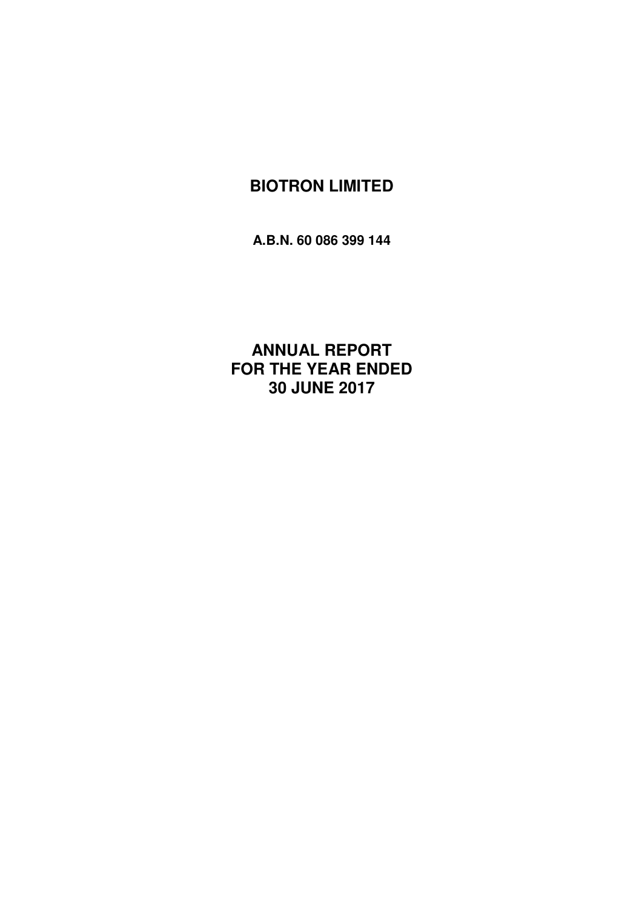**A.B.N. 60 086 399 144**

**ANNUAL REPORT FOR THE YEAR ENDED 30 JUNE 2017**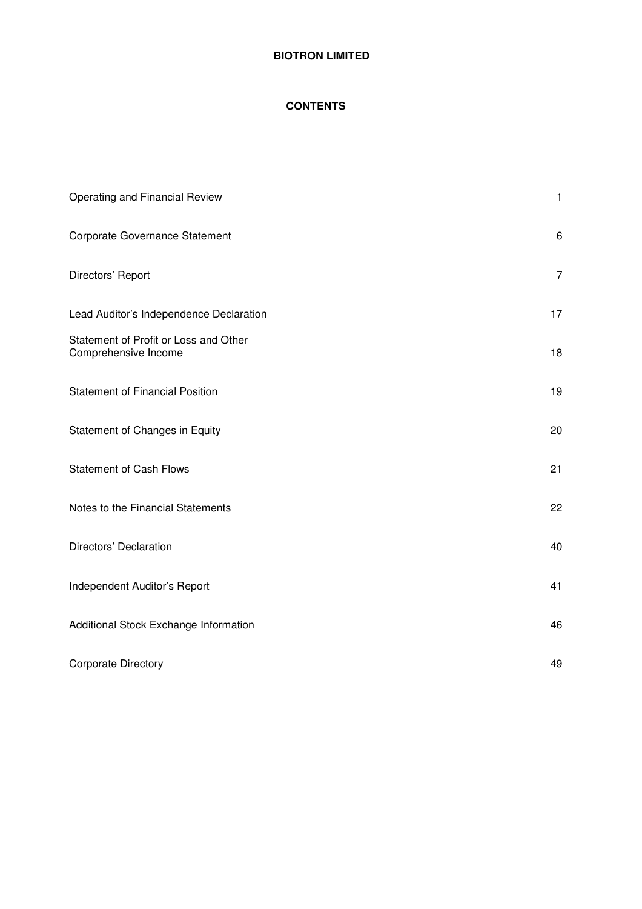## **CONTENTS**

| Operating and Financial Review                                | $\mathbf{1}$   |
|---------------------------------------------------------------|----------------|
| Corporate Governance Statement                                | $\,6$          |
| Directors' Report                                             | $\overline{7}$ |
| Lead Auditor's Independence Declaration                       | 17             |
| Statement of Profit or Loss and Other<br>Comprehensive Income | 18             |
| <b>Statement of Financial Position</b>                        | 19             |
| Statement of Changes in Equity                                | 20             |
| <b>Statement of Cash Flows</b>                                | 21             |
| Notes to the Financial Statements                             | 22             |
| Directors' Declaration                                        | 40             |
| Independent Auditor's Report                                  | 41             |
| Additional Stock Exchange Information                         | 46             |
| <b>Corporate Directory</b>                                    | 49             |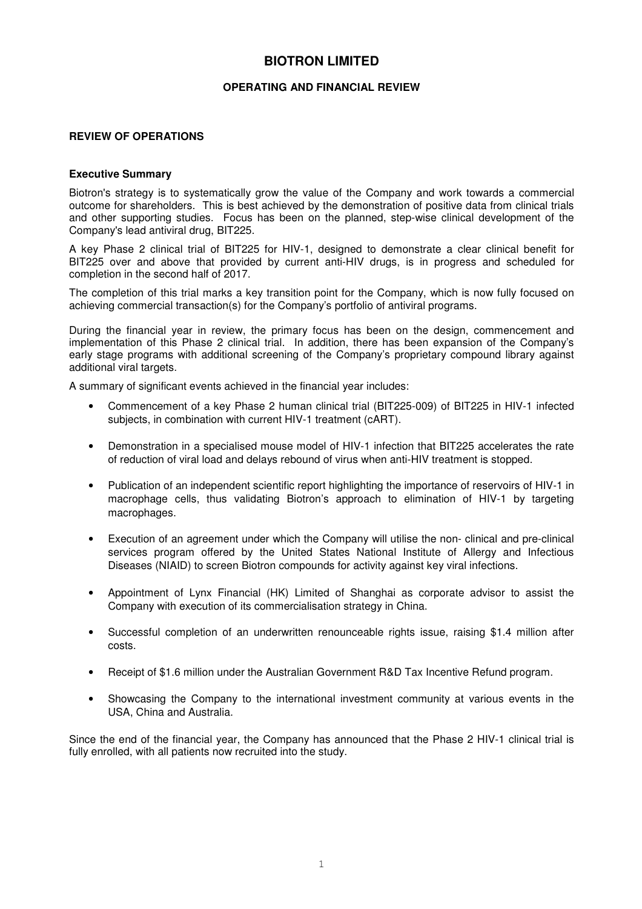#### **OPERATING AND FINANCIAL REVIEW**

#### **REVIEW OF OPERATIONS**

#### **Executive Summary**

Biotron's strategy is to systematically grow the value of the Company and work towards a commercial outcome for shareholders. This is best achieved by the demonstration of positive data from clinical trials and other supporting studies. Focus has been on the planned, step-wise clinical development of the Company's lead antiviral drug, BIT225.

A key Phase 2 clinical trial of BIT225 for HIV-1, designed to demonstrate a clear clinical benefit for BIT225 over and above that provided by current anti-HIV drugs, is in progress and scheduled for completion in the second half of 2017.

The completion of this trial marks a key transition point for the Company, which is now fully focused on achieving commercial transaction(s) for the Company's portfolio of antiviral programs.

During the financial year in review, the primary focus has been on the design, commencement and implementation of this Phase 2 clinical trial. In addition, there has been expansion of the Company's early stage programs with additional screening of the Company's proprietary compound library against additional viral targets.

A summary of significant events achieved in the financial year includes:

- Commencement of a key Phase 2 human clinical trial (BIT225-009) of BIT225 in HIV-1 infected subjects, in combination with current HIV-1 treatment (cART).
- Demonstration in a specialised mouse model of HIV-1 infection that BIT225 accelerates the rate of reduction of viral load and delays rebound of virus when anti-HIV treatment is stopped.
- Publication of an independent scientific report highlighting the importance of reservoirs of HIV-1 in macrophage cells, thus validating Biotron's approach to elimination of HIV-1 by targeting macrophages.
- Execution of an agreement under which the Company will utilise the non- clinical and pre-clinical services program offered by the United States National Institute of Allergy and Infectious Diseases (NIAID) to screen Biotron compounds for activity against key viral infections.
- Appointment of Lynx Financial (HK) Limited of Shanghai as corporate advisor to assist the Company with execution of its commercialisation strategy in China.
- Successful completion of an underwritten renounceable rights issue, raising \$1.4 million after costs.
- Receipt of \$1.6 million under the Australian Government R&D Tax Incentive Refund program.
- Showcasing the Company to the international investment community at various events in the USA, China and Australia.

Since the end of the financial year, the Company has announced that the Phase 2 HIV-1 clinical trial is fully enrolled, with all patients now recruited into the study.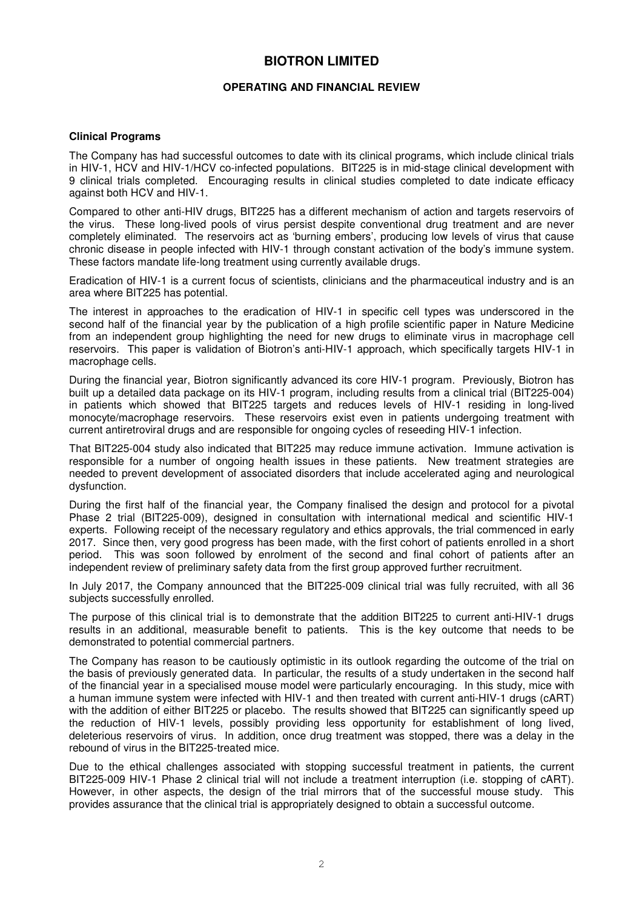#### **OPERATING AND FINANCIAL REVIEW**

#### **Clinical Programs**

The Company has had successful outcomes to date with its clinical programs, which include clinical trials in HIV-1, HCV and HIV-1/HCV co-infected populations. BIT225 is in mid-stage clinical development with 9 clinical trials completed. Encouraging results in clinical studies completed to date indicate efficacy against both HCV and HIV-1.

Compared to other anti-HIV drugs, BIT225 has a different mechanism of action and targets reservoirs of the virus. These long-lived pools of virus persist despite conventional drug treatment and are never completely eliminated. The reservoirs act as 'burning embers', producing low levels of virus that cause chronic disease in people infected with HIV-1 through constant activation of the body's immune system. These factors mandate life-long treatment using currently available drugs.

Eradication of HIV-1 is a current focus of scientists, clinicians and the pharmaceutical industry and is an area where BIT225 has potential.

The interest in approaches to the eradication of HIV-1 in specific cell types was underscored in the second half of the financial year by the publication of a high profile scientific paper in Nature Medicine from an independent group highlighting the need for new drugs to eliminate virus in macrophage cell reservoirs. This paper is validation of Biotron's anti-HIV-1 approach, which specifically targets HIV-1 in macrophage cells.

During the financial year, Biotron significantly advanced its core HIV-1 program. Previously, Biotron has built up a detailed data package on its HIV-1 program, including results from a clinical trial (BIT225-004) in patients which showed that BIT225 targets and reduces levels of HIV-1 residing in long-lived monocyte/macrophage reservoirs. These reservoirs exist even in patients undergoing treatment with current antiretroviral drugs and are responsible for ongoing cycles of reseeding HIV-1 infection.

That BIT225-004 study also indicated that BIT225 may reduce immune activation. Immune activation is responsible for a number of ongoing health issues in these patients. New treatment strategies are needed to prevent development of associated disorders that include accelerated aging and neurological dysfunction.

During the first half of the financial year, the Company finalised the design and protocol for a pivotal Phase 2 trial (BIT225-009), designed in consultation with international medical and scientific HIV-1 experts. Following receipt of the necessary regulatory and ethics approvals, the trial commenced in early 2017. Since then, very good progress has been made, with the first cohort of patients enrolled in a short period. This was soon followed by enrolment of the second and final cohort of patients after an independent review of preliminary safety data from the first group approved further recruitment.

In July 2017, the Company announced that the BIT225-009 clinical trial was fully recruited, with all 36 subjects successfully enrolled.

The purpose of this clinical trial is to demonstrate that the addition BIT225 to current anti-HIV-1 drugs results in an additional, measurable benefit to patients. This is the key outcome that needs to be demonstrated to potential commercial partners.

The Company has reason to be cautiously optimistic in its outlook regarding the outcome of the trial on the basis of previously generated data. In particular, the results of a study undertaken in the second half of the financial year in a specialised mouse model were particularly encouraging. In this study, mice with a human immune system were infected with HIV-1 and then treated with current anti-HIV-1 drugs (cART) with the addition of either BIT225 or placebo. The results showed that BIT225 can significantly speed up the reduction of HIV-1 levels, possibly providing less opportunity for establishment of long lived, deleterious reservoirs of virus. In addition, once drug treatment was stopped, there was a delay in the rebound of virus in the BIT225-treated mice.

Due to the ethical challenges associated with stopping successful treatment in patients, the current BIT225-009 HIV-1 Phase 2 clinical trial will not include a treatment interruption (i.e. stopping of cART). However, in other aspects, the design of the trial mirrors that of the successful mouse study. This provides assurance that the clinical trial is appropriately designed to obtain a successful outcome.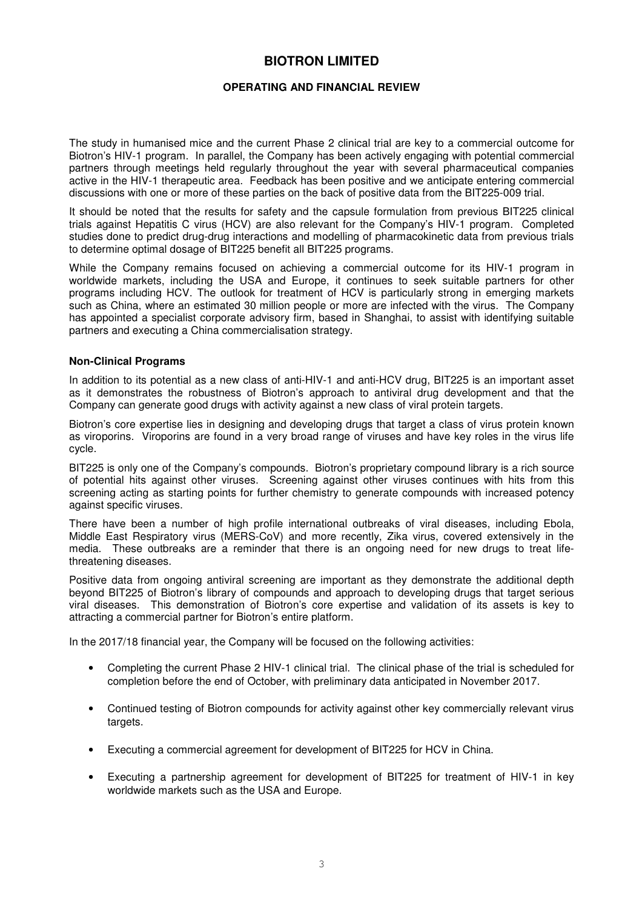#### **OPERATING AND FINANCIAL REVIEW**

The study in humanised mice and the current Phase 2 clinical trial are key to a commercial outcome for Biotron's HIV-1 program. In parallel, the Company has been actively engaging with potential commercial partners through meetings held regularly throughout the year with several pharmaceutical companies active in the HIV-1 therapeutic area. Feedback has been positive and we anticipate entering commercial discussions with one or more of these parties on the back of positive data from the BIT225-009 trial.

It should be noted that the results for safety and the capsule formulation from previous BIT225 clinical trials against Hepatitis C virus (HCV) are also relevant for the Company's HIV-1 program. Completed studies done to predict drug-drug interactions and modelling of pharmacokinetic data from previous trials to determine optimal dosage of BIT225 benefit all BIT225 programs.

While the Company remains focused on achieving a commercial outcome for its HIV-1 program in worldwide markets, including the USA and Europe, it continues to seek suitable partners for other programs including HCV. The outlook for treatment of HCV is particularly strong in emerging markets such as China, where an estimated 30 million people or more are infected with the virus. The Company has appointed a specialist corporate advisory firm, based in Shanghai, to assist with identifying suitable partners and executing a China commercialisation strategy.

#### **Non-Clinical Programs**

In addition to its potential as a new class of anti-HIV-1 and anti-HCV drug, BIT225 is an important asset as it demonstrates the robustness of Biotron's approach to antiviral drug development and that the Company can generate good drugs with activity against a new class of viral protein targets.

Biotron's core expertise lies in designing and developing drugs that target a class of virus protein known as viroporins. Viroporins are found in a very broad range of viruses and have key roles in the virus life cycle.

BIT225 is only one of the Company's compounds. Biotron's proprietary compound library is a rich source of potential hits against other viruses. Screening against other viruses continues with hits from this screening acting as starting points for further chemistry to generate compounds with increased potency against specific viruses.

There have been a number of high profile international outbreaks of viral diseases, including Ebola, Middle East Respiratory virus (MERS-CoV) and more recently, Zika virus, covered extensively in the media. These outbreaks are a reminder that there is an ongoing need for new drugs to treat lifethreatening diseases.

Positive data from ongoing antiviral screening are important as they demonstrate the additional depth beyond BIT225 of Biotron's library of compounds and approach to developing drugs that target serious viral diseases. This demonstration of Biotron's core expertise and validation of its assets is key to attracting a commercial partner for Biotron's entire platform.

In the 2017/18 financial year, the Company will be focused on the following activities:

- Completing the current Phase 2 HIV-1 clinical trial. The clinical phase of the trial is scheduled for completion before the end of October, with preliminary data anticipated in November 2017.
- Continued testing of Biotron compounds for activity against other key commercially relevant virus targets.
- Executing a commercial agreement for development of BIT225 for HCV in China.
- Executing a partnership agreement for development of BIT225 for treatment of HIV-1 in key worldwide markets such as the USA and Europe.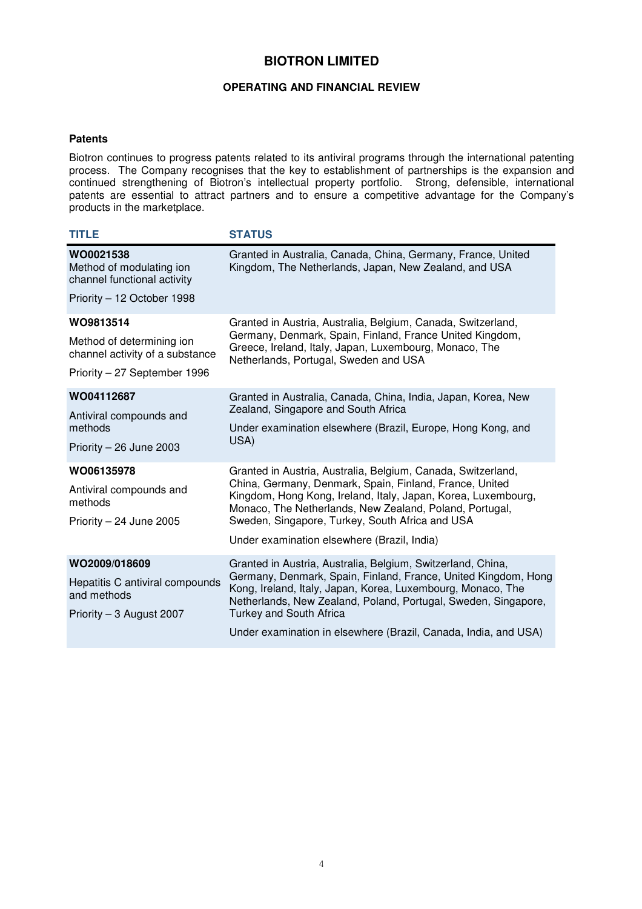#### **OPERATING AND FINANCIAL REVIEW**

#### **Patents**

Biotron continues to progress patents related to its antiviral programs through the international patenting process. The Company recognises that the key to establishment of partnerships is the expansion and continued strengthening of Biotron's intellectual property portfolio. Strong, defensible, international patents are essential to attract partners and to ensure a competitive advantage for the Company's products in the marketplace.

| <b>TITLE</b>                                                                                              | <b>STATUS</b>                                                                                                                                                                                                                                                                                                                                                       |
|-----------------------------------------------------------------------------------------------------------|---------------------------------------------------------------------------------------------------------------------------------------------------------------------------------------------------------------------------------------------------------------------------------------------------------------------------------------------------------------------|
| WO0021538<br>Method of modulating ion<br>channel functional activity                                      | Granted in Australia, Canada, China, Germany, France, United<br>Kingdom, The Netherlands, Japan, New Zealand, and USA                                                                                                                                                                                                                                               |
| Priority - 12 October 1998                                                                                |                                                                                                                                                                                                                                                                                                                                                                     |
| WO9813514<br>Method of determining ion<br>channel activity of a substance<br>Priority - 27 September 1996 | Granted in Austria, Australia, Belgium, Canada, Switzerland,<br>Germany, Denmark, Spain, Finland, France United Kingdom,<br>Greece, Ireland, Italy, Japan, Luxembourg, Monaco, The<br>Netherlands, Portugal, Sweden and USA                                                                                                                                         |
| WO04112687<br>Antiviral compounds and<br>methods<br>Priority $-26$ June 2003                              | Granted in Australia, Canada, China, India, Japan, Korea, New<br>Zealand, Singapore and South Africa<br>Under examination elsewhere (Brazil, Europe, Hong Kong, and<br>USA)                                                                                                                                                                                         |
| WO06135978<br>Antiviral compounds and<br>methods<br>Priority $-24$ June 2005                              | Granted in Austria, Australia, Belgium, Canada, Switzerland,<br>China, Germany, Denmark, Spain, Finland, France, United<br>Kingdom, Hong Kong, Ireland, Italy, Japan, Korea, Luxembourg,<br>Monaco, The Netherlands, New Zealand, Poland, Portugal,<br>Sweden, Singapore, Turkey, South Africa and USA<br>Under examination elsewhere (Brazil, India)               |
| WO2009/018609<br>Hepatitis C antiviral compounds<br>and methods<br>Priority - 3 August 2007               | Granted in Austria, Australia, Belgium, Switzerland, China,<br>Germany, Denmark, Spain, Finland, France, United Kingdom, Hong<br>Kong, Ireland, Italy, Japan, Korea, Luxembourg, Monaco, The<br>Netherlands, New Zealand, Poland, Portugal, Sweden, Singapore,<br><b>Turkey and South Africa</b><br>Under examination in elsewhere (Brazil, Canada, India, and USA) |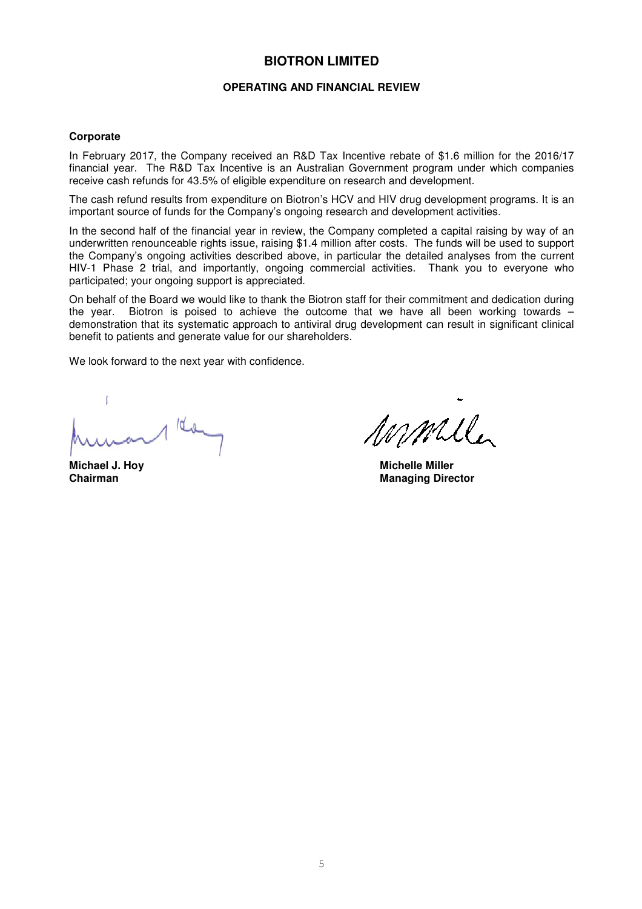#### **OPERATING AND FINANCIAL REVIEW**

#### **Corporate**

In February 2017, the Company received an R&D Tax Incentive rebate of \$1.6 million for the 2016/17 financial year. The R&D Tax Incentive is an Australian Government program under which companies receive cash refunds for 43.5% of eligible expenditure on research and development.

The cash refund results from expenditure on Biotron's HCV and HIV drug development programs. It is an important source of funds for the Company's ongoing research and development activities.

In the second half of the financial year in review, the Company completed a capital raising by way of an underwritten renounceable rights issue, raising \$1.4 million after costs. The funds will be used to support the Company's ongoing activities described above, in particular the detailed analyses from the current HIV-1 Phase 2 trial, and importantly, ongoing commercial activities. Thank you to everyone who participated; your ongoing support is appreciated.

On behalf of the Board we would like to thank the Biotron staff for their commitment and dedication during the year. Biotron is poised to achieve the outcome that we have all been working towards – demonstration that its systematic approach to antiviral drug development can result in significant clinical benefit to patients and generate value for our shareholders.

We look forward to the next year with confidence.

 $10<sub>0</sub>$ 

malle

**Michael J. Hoy Nichelle Miller Chairman**<br> **Chairman Managing Director**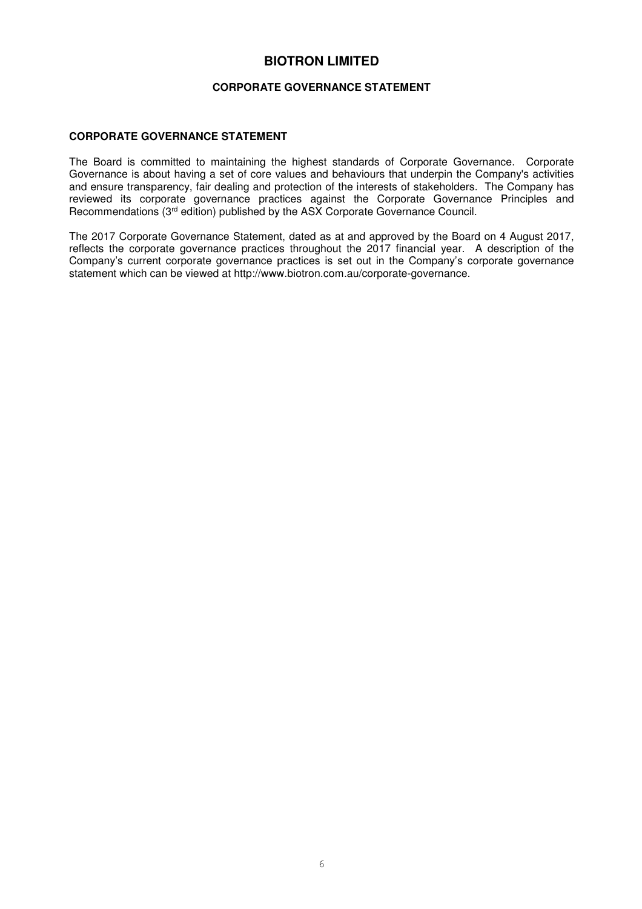#### **CORPORATE GOVERNANCE STATEMENT**

#### **CORPORATE GOVERNANCE STATEMENT**

The Board is committed to maintaining the highest standards of Corporate Governance. Corporate Governance is about having a set of core values and behaviours that underpin the Company's activities and ensure transparency, fair dealing and protection of the interests of stakeholders. The Company has reviewed its corporate governance practices against the Corporate Governance Principles and Recommendations (3rd edition) published by the ASX Corporate Governance Council.

The 2017 Corporate Governance Statement, dated as at and approved by the Board on 4 August 2017, reflects the corporate governance practices throughout the 2017 financial year. A description of the Company's current corporate governance practices is set out in the Company's corporate governance statement which can be viewed at http://www.biotron.com.au/corporate-governance.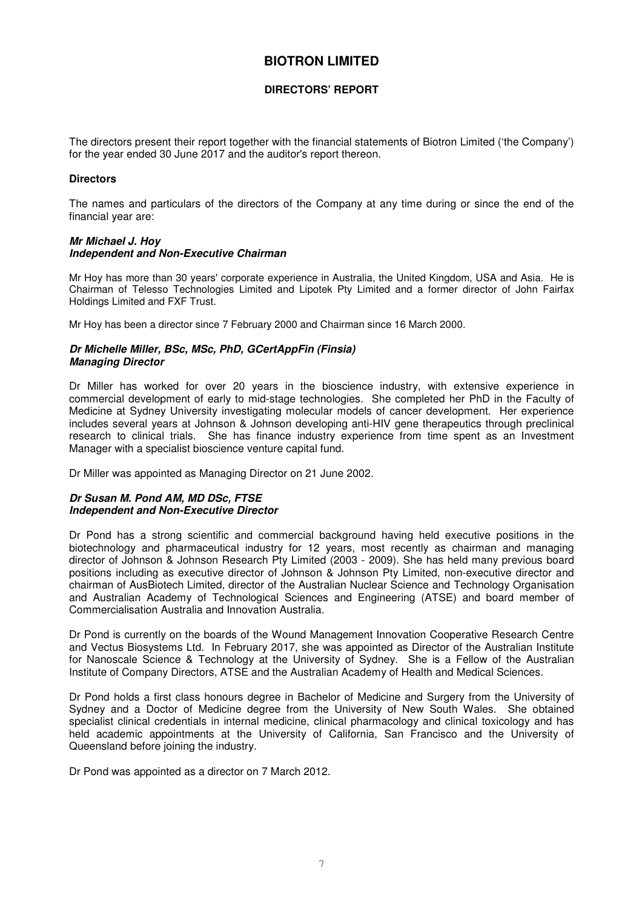#### **DIRECTORS' REPORT**

The directors present their report together with the financial statements of Biotron Limited ('the Company') for the year ended 30 June 2017 and the auditor's report thereon.

#### **Directors**

The names and particulars of the directors of the Company at any time during or since the end of the financial year are:

#### *Mr Michael J. Hoy Independent and Non-Executive Chairman*

Mr Hoy has more than 30 years' corporate experience in Australia, the United Kingdom, USA and Asia. He is Chairman of Telesso Technologies Limited and Lipotek Pty Limited and a former director of John Fairfax Holdings Limited and FXF Trust.

Mr Hoy has been a director since 7 February 2000 and Chairman since 16 March 2000.

#### *Dr Michelle Miller, BSc, MSc, PhD, GCertAppFin (Finsia) Managing Director*

Dr Miller has worked for over 20 years in the bioscience industry, with extensive experience in commercial development of early to mid-stage technologies. She completed her PhD in the Faculty of Medicine at Sydney University investigating molecular models of cancer development. Her experience includes several years at Johnson & Johnson developing anti-HIV gene therapeutics through preclinical research to clinical trials. She has finance industry experience from time spent as an Investment Manager with a specialist bioscience venture capital fund.

Dr Miller was appointed as Managing Director on 21 June 2002.

#### *Dr Susan M. Pond AM, MD DSc, FTSE Independent and Non-Executive Director*

Dr Pond has a strong scientific and commercial background having held executive positions in the biotechnology and pharmaceutical industry for 12 years, most recently as chairman and managing director of Johnson & Johnson Research Pty Limited (2003 - 2009). She has held many previous board positions including as executive director of Johnson & Johnson Pty Limited, non-executive director and chairman of AusBiotech Limited, director of the Australian Nuclear Science and Technology Organisation and Australian Academy of Technological Sciences and Engineering (ATSE) and board member of Commercialisation Australia and Innovation Australia.

Dr Pond is currently on the boards of the Wound Management Innovation Cooperative Research Centre and Vectus Biosystems Ltd. In February 2017, she was appointed as Director of the Australian Institute for Nanoscale Science & Technology at the University of Sydney. She is a Fellow of the Australian Institute of Company Directors, ATSE and the Australian Academy of Health and Medical Sciences.

Dr Pond holds a first class honours degree in Bachelor of Medicine and Surgery from the University of Sydney and a Doctor of Medicine degree from the University of New South Wales. She obtained specialist clinical credentials in internal medicine, clinical pharmacology and clinical toxicology and has held academic appointments at the University of California, San Francisco and the University of Queensland before joining the industry.

Dr Pond was appointed as a director on 7 March 2012.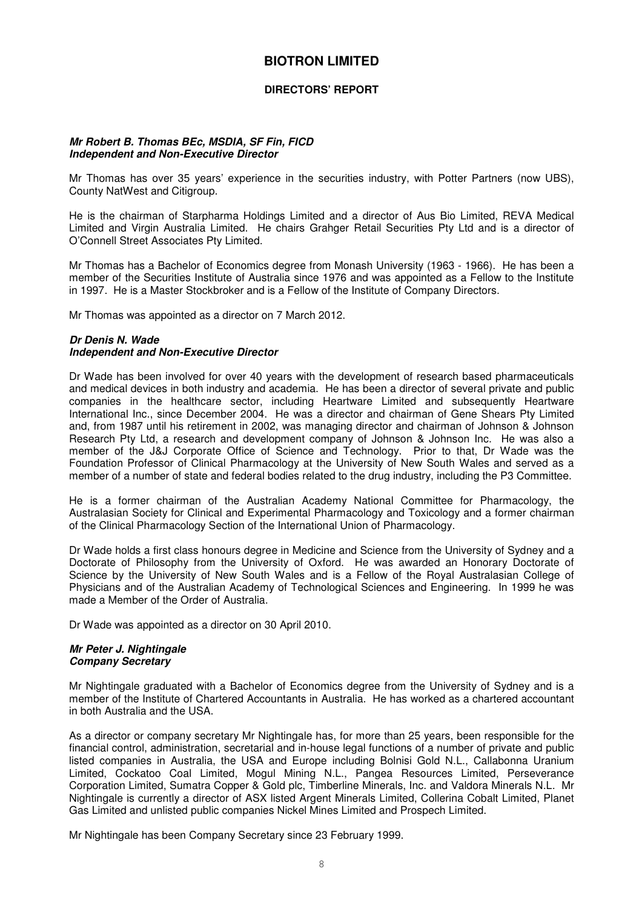#### **DIRECTORS' REPORT**

#### *Mr Robert B. Thomas BEc, MSDIA, SF Fin, FICD Independent and Non-Executive Director*

Mr Thomas has over 35 years' experience in the securities industry, with Potter Partners (now UBS), County NatWest and Citigroup.

He is the chairman of Starpharma Holdings Limited and a director of Aus Bio Limited, REVA Medical Limited and Virgin Australia Limited. He chairs Grahger Retail Securities Pty Ltd and is a director of O'Connell Street Associates Pty Limited.

Mr Thomas has a Bachelor of Economics degree from Monash University (1963 - 1966). He has been a member of the Securities Institute of Australia since 1976 and was appointed as a Fellow to the Institute in 1997. He is a Master Stockbroker and is a Fellow of the Institute of Company Directors.

Mr Thomas was appointed as a director on 7 March 2012.

#### *Dr Denis N. Wade Independent and Non-Executive Director*

Dr Wade has been involved for over 40 years with the development of research based pharmaceuticals and medical devices in both industry and academia. He has been a director of several private and public companies in the healthcare sector, including Heartware Limited and subsequently Heartware International Inc., since December 2004. He was a director and chairman of Gene Shears Pty Limited and, from 1987 until his retirement in 2002, was managing director and chairman of Johnson & Johnson Research Pty Ltd, a research and development company of Johnson & Johnson Inc. He was also a member of the J&J Corporate Office of Science and Technology. Prior to that, Dr Wade was the Foundation Professor of Clinical Pharmacology at the University of New South Wales and served as a member of a number of state and federal bodies related to the drug industry, including the P3 Committee.

He is a former chairman of the Australian Academy National Committee for Pharmacology, the Australasian Society for Clinical and Experimental Pharmacology and Toxicology and a former chairman of the Clinical Pharmacology Section of the International Union of Pharmacology.

Dr Wade holds a first class honours degree in Medicine and Science from the University of Sydney and a Doctorate of Philosophy from the University of Oxford. He was awarded an Honorary Doctorate of Science by the University of New South Wales and is a Fellow of the Royal Australasian College of Physicians and of the Australian Academy of Technological Sciences and Engineering. In 1999 he was made a Member of the Order of Australia.

Dr Wade was appointed as a director on 30 April 2010.

#### *Mr Peter J. Nightingale Company Secretary*

Mr Nightingale graduated with a Bachelor of Economics degree from the University of Sydney and is a member of the Institute of Chartered Accountants in Australia. He has worked as a chartered accountant in both Australia and the USA.

As a director or company secretary Mr Nightingale has, for more than 25 years, been responsible for the financial control, administration, secretarial and in-house legal functions of a number of private and public listed companies in Australia, the USA and Europe including Bolnisi Gold N.L., Callabonna Uranium Limited, Cockatoo Coal Limited, Mogul Mining N.L., Pangea Resources Limited, Perseverance Corporation Limited, Sumatra Copper & Gold plc, Timberline Minerals, Inc. and Valdora Minerals N.L. Mr Nightingale is currently a director of ASX listed Argent Minerals Limited, Collerina Cobalt Limited, Planet Gas Limited and unlisted public companies Nickel Mines Limited and Prospech Limited.

Mr Nightingale has been Company Secretary since 23 February 1999.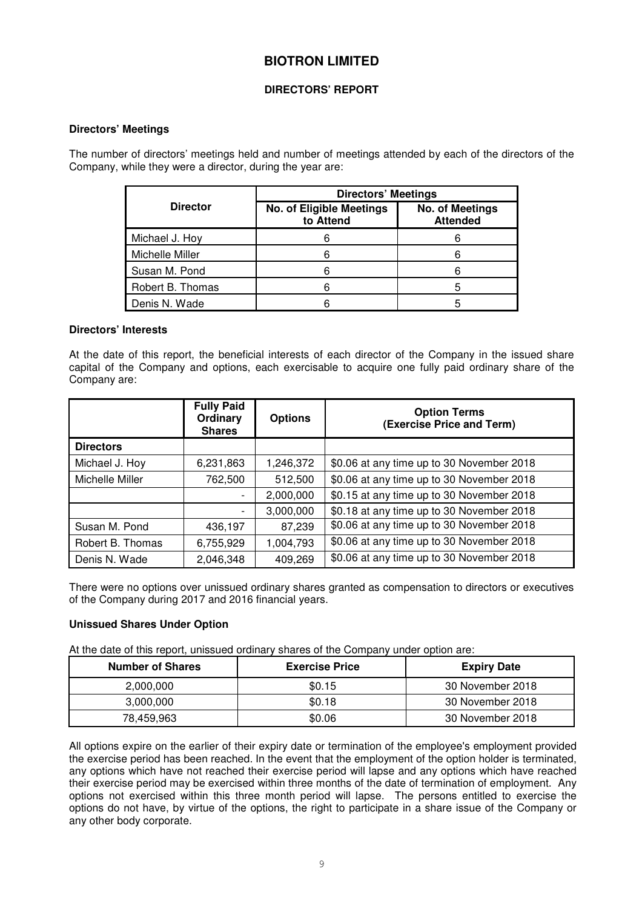#### **DIRECTORS' REPORT**

#### **Directors' Meetings**

The number of directors' meetings held and number of meetings attended by each of the directors of the Company, while they were a director, during the year are:

|                  | <b>Directors' Meetings</b>            |                                           |  |  |  |
|------------------|---------------------------------------|-------------------------------------------|--|--|--|
| <b>Director</b>  | No. of Eligible Meetings<br>to Attend | <b>No. of Meetings</b><br><b>Attended</b> |  |  |  |
| Michael J. Hoy   | 6                                     |                                           |  |  |  |
| Michelle Miller  | 6                                     |                                           |  |  |  |
| Susan M. Pond    | 6                                     |                                           |  |  |  |
| Robert B. Thomas | 6                                     | 5                                         |  |  |  |
| Denis N. Wade    |                                       |                                           |  |  |  |

#### **Directors' Interests**

At the date of this report, the beneficial interests of each director of the Company in the issued share capital of the Company and options, each exercisable to acquire one fully paid ordinary share of the Company are:

|                  | <b>Fully Paid</b><br>Ordinary<br><b>Shares</b> | <b>Options</b> | <b>Option Terms</b><br>(Exercise Price and Term) |
|------------------|------------------------------------------------|----------------|--------------------------------------------------|
| <b>Directors</b> |                                                |                |                                                  |
| Michael J. Hoy   | 6,231,863                                      | 1,246,372      | \$0.06 at any time up to 30 November 2018        |
| Michelle Miller  | 762,500                                        | 512,500        | \$0.06 at any time up to 30 November 2018        |
|                  |                                                | 2,000,000      | \$0.15 at any time up to 30 November 2018        |
|                  |                                                | 3,000,000      | \$0.18 at any time up to 30 November 2018        |
| Susan M. Pond    | 436,197                                        | 87,239         | \$0.06 at any time up to 30 November 2018        |
| Robert B. Thomas | 6,755,929                                      | 1,004,793      | \$0.06 at any time up to 30 November 2018        |
| Denis N. Wade    | 2,046,348                                      | 409,269        | \$0.06 at any time up to 30 November 2018        |

There were no options over unissued ordinary shares granted as compensation to directors or executives of the Company during 2017 and 2016 financial years.

## **Unissued Shares Under Option**

At the date of this report, unissued ordinary shares of the Company under option are:

| <b>Number of Shares</b> | <b>Exercise Price</b> | <b>Expiry Date</b> |
|-------------------------|-----------------------|--------------------|
| 2.000.000               | \$0.15                | 30 November 2018   |
| 3.000.000               | \$0.18                | 30 November 2018   |
| 78,459,963              | \$0.06                | 30 November 2018   |

All options expire on the earlier of their expiry date or termination of the employee's employment provided the exercise period has been reached. In the event that the employment of the option holder is terminated, any options which have not reached their exercise period will lapse and any options which have reached their exercise period may be exercised within three months of the date of termination of employment. Any options not exercised within this three month period will lapse. The persons entitled to exercise the options do not have, by virtue of the options, the right to participate in a share issue of the Company or any other body corporate.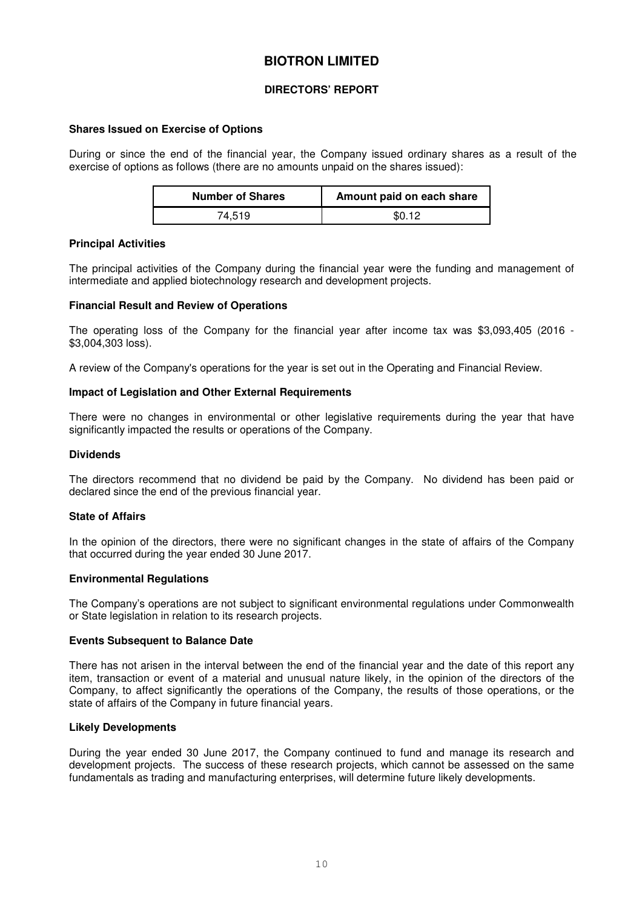#### **DIRECTORS' REPORT**

#### **Shares Issued on Exercise of Options**

During or since the end of the financial year, the Company issued ordinary shares as a result of the exercise of options as follows (there are no amounts unpaid on the shares issued):

| <b>Number of Shares</b> | Amount paid on each share |
|-------------------------|---------------------------|
| 74.519                  | \$0.12                    |

#### **Principal Activities**

The principal activities of the Company during the financial year were the funding and management of intermediate and applied biotechnology research and development projects.

#### **Financial Result and Review of Operations**

The operating loss of the Company for the financial year after income tax was \$3,093,405 (2016 - \$3,004,303 loss).

A review of the Company's operations for the year is set out in the Operating and Financial Review.

#### **Impact of Legislation and Other External Requirements**

There were no changes in environmental or other legislative requirements during the year that have significantly impacted the results or operations of the Company.

#### **Dividends**

The directors recommend that no dividend be paid by the Company. No dividend has been paid or declared since the end of the previous financial year.

#### **State of Affairs**

In the opinion of the directors, there were no significant changes in the state of affairs of the Company that occurred during the year ended 30 June 2017.

#### **Environmental Regulations**

The Company's operations are not subject to significant environmental regulations under Commonwealth or State legislation in relation to its research projects.

#### **Events Subsequent to Balance Date**

There has not arisen in the interval between the end of the financial year and the date of this report any item, transaction or event of a material and unusual nature likely, in the opinion of the directors of the Company, to affect significantly the operations of the Company, the results of those operations, or the state of affairs of the Company in future financial years.

#### **Likely Developments**

During the year ended 30 June 2017, the Company continued to fund and manage its research and development projects. The success of these research projects, which cannot be assessed on the same fundamentals as trading and manufacturing enterprises, will determine future likely developments.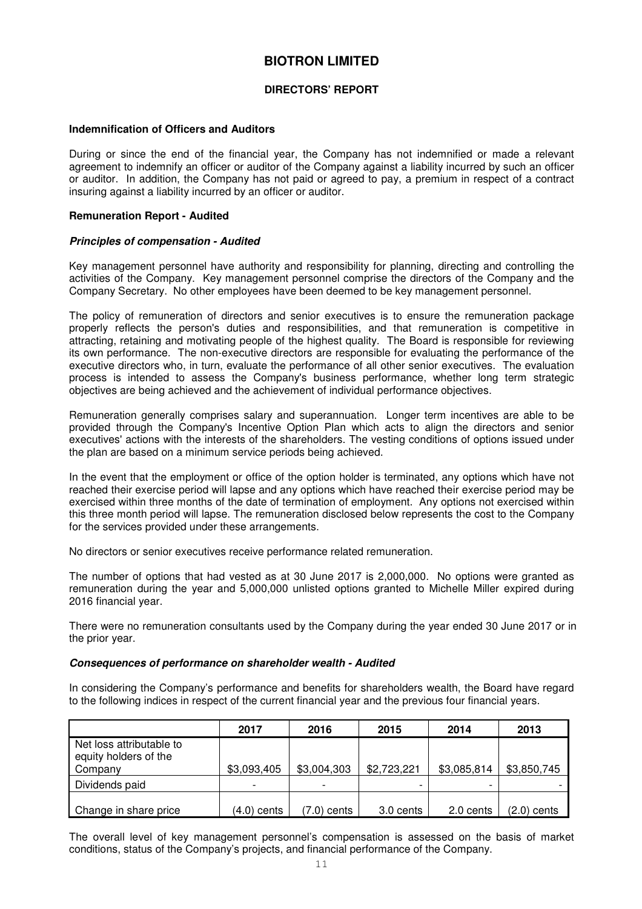#### **DIRECTORS' REPORT**

#### **Indemnification of Officers and Auditors**

During or since the end of the financial year, the Company has not indemnified or made a relevant agreement to indemnify an officer or auditor of the Company against a liability incurred by such an officer or auditor. In addition, the Company has not paid or agreed to pay, a premium in respect of a contract insuring against a liability incurred by an officer or auditor.

#### **Remuneration Report - Audited**

#### *Principles of compensation - Audited*

Key management personnel have authority and responsibility for planning, directing and controlling the activities of the Company. Key management personnel comprise the directors of the Company and the Company Secretary. No other employees have been deemed to be key management personnel.

The policy of remuneration of directors and senior executives is to ensure the remuneration package properly reflects the person's duties and responsibilities, and that remuneration is competitive in attracting, retaining and motivating people of the highest quality. The Board is responsible for reviewing its own performance. The non-executive directors are responsible for evaluating the performance of the executive directors who, in turn, evaluate the performance of all other senior executives. The evaluation process is intended to assess the Company's business performance, whether long term strategic objectives are being achieved and the achievement of individual performance objectives.

Remuneration generally comprises salary and superannuation. Longer term incentives are able to be provided through the Company's Incentive Option Plan which acts to align the directors and senior executives' actions with the interests of the shareholders. The vesting conditions of options issued under the plan are based on a minimum service periods being achieved.

In the event that the employment or office of the option holder is terminated, any options which have not reached their exercise period will lapse and any options which have reached their exercise period may be exercised within three months of the date of termination of employment. Any options not exercised within this three month period will lapse. The remuneration disclosed below represents the cost to the Company for the services provided under these arrangements.

No directors or senior executives receive performance related remuneration.

The number of options that had vested as at 30 June 2017 is 2,000,000. No options were granted as remuneration during the year and 5,000,000 unlisted options granted to Michelle Miller expired during 2016 financial year.

There were no remuneration consultants used by the Company during the year ended 30 June 2017 or in the prior year.

#### *Consequences of performance on shareholder wealth - Audited*

In considering the Company's performance and benefits for shareholders wealth, the Board have regard to the following indices in respect of the current financial year and the previous four financial years.

|                                                              | 2017        | 2016        | 2015        | 2014        | 2013          |
|--------------------------------------------------------------|-------------|-------------|-------------|-------------|---------------|
| Net loss attributable to<br>equity holders of the<br>Company | \$3,093,405 | \$3,004,303 | \$2,723,221 | \$3,085,814 | \$3,850,745   |
| Dividends paid                                               |             |             |             |             |               |
| Change in share price                                        | (4.0) cents | (7.0) cents | 3.0 cents   | 2.0 cents   | $(2.0)$ cents |

The overall level of key management personnel's compensation is assessed on the basis of market conditions, status of the Company's projects, and financial performance of the Company.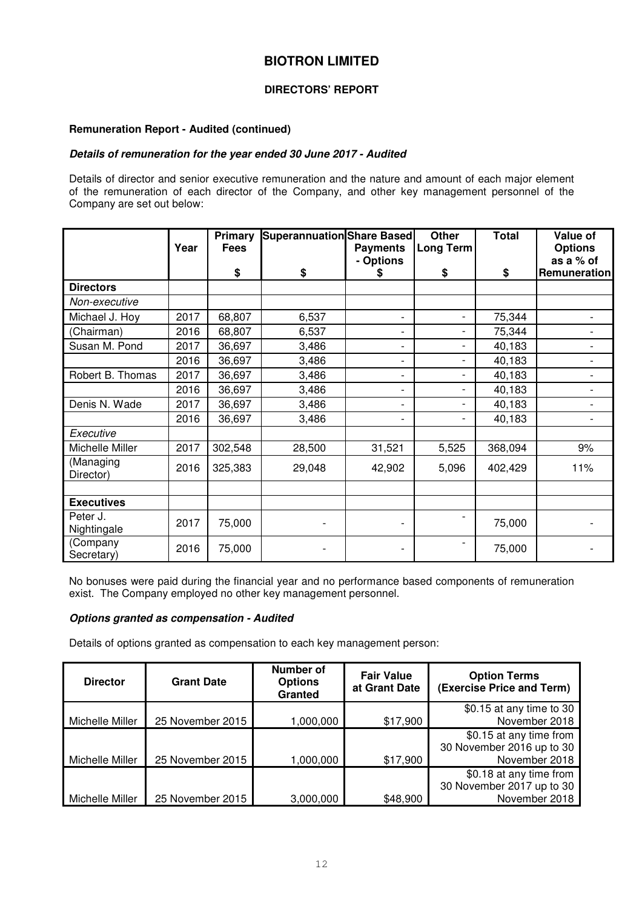## **DIRECTORS' REPORT**

#### **Remuneration Report - Audited (continued)**

#### *Details of remuneration for the year ended 30 June 2017 - Audited*

Details of director and senior executive remuneration and the nature and amount of each major element of the remuneration of each director of the Company, and other key management personnel of the Company are set out below:

|                         | Year | Primary<br><b>Fees</b> | Superannuation Share Based | <b>Payments</b><br>- Options | <b>Other</b><br>Long Term | <b>Total</b> | Value of<br><b>Options</b><br>as a % of |
|-------------------------|------|------------------------|----------------------------|------------------------------|---------------------------|--------------|-----------------------------------------|
|                         |      | \$                     | \$                         | \$                           | \$                        | \$           | Remuneration                            |
| <b>Directors</b>        |      |                        |                            |                              |                           |              |                                         |
| Non-executive           |      |                        |                            |                              |                           |              |                                         |
| Michael J. Hoy          | 2017 | 68,807                 | 6,537                      | $\overline{\phantom{0}}$     | $\overline{a}$            | 75,344       |                                         |
| (Chairman)              | 2016 | 68,807                 | 6,537                      | $\overline{\phantom{0}}$     | -                         | 75,344       |                                         |
| Susan M. Pond           | 2017 | 36,697                 | 3,486                      | $\overline{\phantom{0}}$     | $\overline{a}$            | 40,183       |                                         |
|                         | 2016 | 36,697                 | 3,486                      | $\overline{\phantom{0}}$     | $\overline{a}$            | 40,183       |                                         |
| Robert B. Thomas        | 2017 | 36,697                 | 3,486                      | -                            | $\overline{a}$            | 40,183       |                                         |
|                         | 2016 | 36,697                 | 3,486                      | $\overline{\phantom{0}}$     | $\overline{a}$            | 40,183       |                                         |
| Denis N. Wade           | 2017 | 36,697                 | 3,486                      | $\overline{\phantom{0}}$     | $\overline{a}$            | 40,183       |                                         |
|                         | 2016 | 36,697                 | 3,486                      | $\overline{\phantom{0}}$     | $\overline{a}$            | 40,183       |                                         |
| Executive               |      |                        |                            |                              |                           |              |                                         |
| Michelle Miller         | 2017 | 302,548                | 28,500                     | 31,521                       | 5,525                     | 368,094      | 9%                                      |
| (Managing<br>Director)  | 2016 | 325,383                | 29,048                     | 42,902                       | 5,096                     | 402,429      | 11%                                     |
|                         |      |                        |                            |                              |                           |              |                                         |
| <b>Executives</b>       |      |                        |                            |                              |                           |              |                                         |
| Peter J.<br>Nightingale | 2017 | 75,000                 |                            |                              |                           | 75,000       |                                         |
| (Company<br>Secretary)  | 2016 | 75,000                 |                            |                              |                           | 75,000       |                                         |

No bonuses were paid during the financial year and no performance based components of remuneration exist. The Company employed no other key management personnel.

#### *Options granted as compensation - Audited*

Details of options granted as compensation to each key management person:

| <b>Director</b> | <b>Grant Date</b> | Number of<br><b>Options</b><br>Granted | <b>Fair Value</b><br>at Grant Date | <b>Option Terms</b><br>(Exercise Price and Term) |
|-----------------|-------------------|----------------------------------------|------------------------------------|--------------------------------------------------|
|                 |                   |                                        |                                    | \$0.15 at any time to 30                         |
| Michelle Miller | 25 November 2015  | 1,000,000                              | \$17,900                           | November 2018                                    |
|                 |                   |                                        |                                    | \$0.15 at any time from                          |
|                 |                   |                                        |                                    | 30 November 2016 up to 30                        |
| Michelle Miller | 25 November 2015  | 1,000,000                              | \$17,900                           | November 2018                                    |
|                 |                   |                                        |                                    | \$0.18 at any time from                          |
|                 |                   |                                        |                                    | 30 November 2017 up to 30                        |
| Michelle Miller | 25 November 2015  | 3,000,000                              | \$48,900                           | November 2018                                    |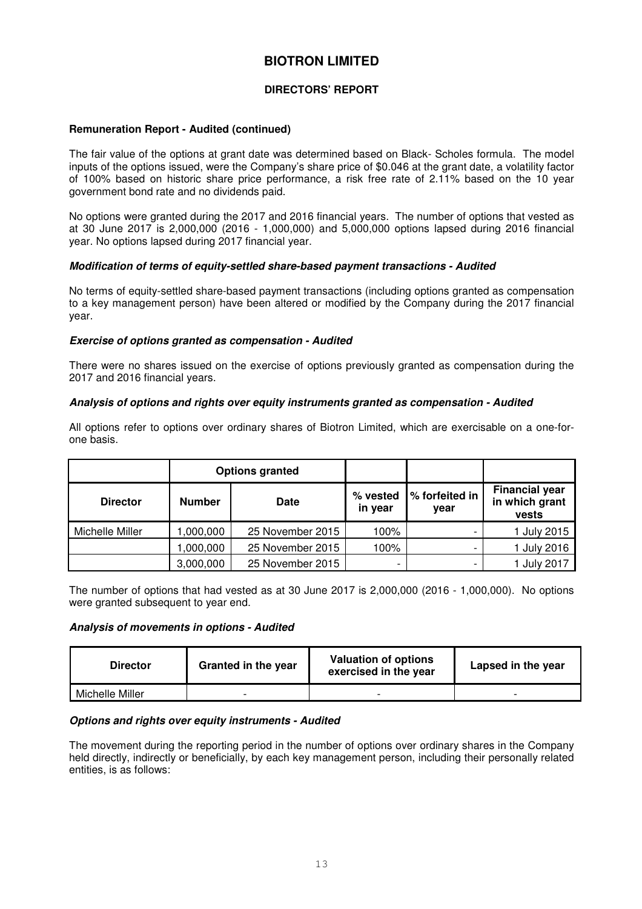## **DIRECTORS' REPORT**

#### **Remuneration Report - Audited (continued)**

The fair value of the options at grant date was determined based on Black- Scholes formula. The model inputs of the options issued, were the Company's share price of \$0.046 at the grant date, a volatility factor of 100% based on historic share price performance, a risk free rate of 2.11% based on the 10 year government bond rate and no dividends paid.

No options were granted during the 2017 and 2016 financial years. The number of options that vested as at 30 June 2017 is 2,000,000 (2016 - 1,000,000) and 5,000,000 options lapsed during 2016 financial year. No options lapsed during 2017 financial year.

#### *Modification of terms of equity-settled share-based payment transactions - Audited*

No terms of equity-settled share-based payment transactions (including options granted as compensation to a key management person) have been altered or modified by the Company during the 2017 financial year.

#### *Exercise of options granted as compensation - Audited*

There were no shares issued on the exercise of options previously granted as compensation during the 2017 and 2016 financial years.

#### *Analysis of options and rights over equity instruments granted as compensation - Audited*

All options refer to options over ordinary shares of Biotron Limited, which are exercisable on a one-forone basis.

|                 | <b>Options granted</b> |                  |                     |                        |                                                  |
|-----------------|------------------------|------------------|---------------------|------------------------|--------------------------------------------------|
| <b>Director</b> | <b>Number</b>          | <b>Date</b>      | % vested<br>in year | % forfeited in<br>year | <b>Financial year</b><br>in which grant<br>vests |
| Michelle Miller | .000,000 ا             | 25 November 2015 | 100%                |                        | 1 July 2015                                      |
|                 | 000,000,               | 25 November 2015 | 100%                |                        | 1 July 2016                                      |
|                 | 3,000,000              | 25 November 2015 |                     |                        | 1 July 2017                                      |

The number of options that had vested as at 30 June 2017 is 2,000,000 (2016 - 1,000,000). No options were granted subsequent to year end.

#### *Analysis of movements in options - Audited*

| <b>Director</b> | Granted in the year | <b>Valuation of options</b><br>exercised in the year | Lapsed in the year |
|-----------------|---------------------|------------------------------------------------------|--------------------|
| Michelle Miller |                     |                                                      |                    |

#### *Options and rights over equity instruments - Audited*

The movement during the reporting period in the number of options over ordinary shares in the Company held directly, indirectly or beneficially, by each key management person, including their personally related entities, is as follows: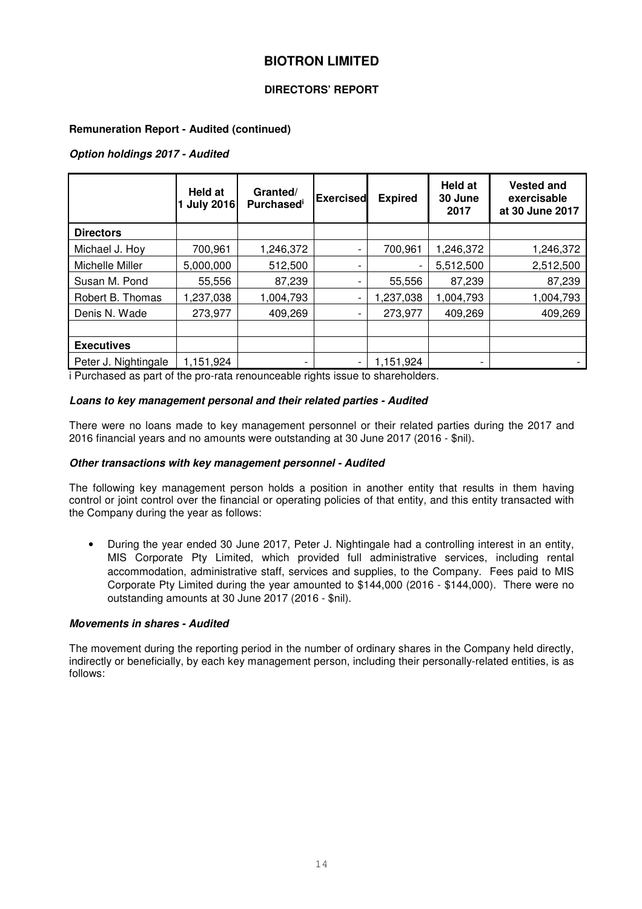#### **DIRECTORS' REPORT**

#### **Remuneration Report - Audited (continued)**

#### *Option holdings 2017 - Audited*

|                      | Held at<br><b>July 2016</b> | Granted/<br><b>Purchased</b> | <b>Exercised</b> | <b>Expired</b> | <b>Held at</b><br>30 June<br>2017 | <b>Vested and</b><br>exercisable<br>at 30 June 2017 |
|----------------------|-----------------------------|------------------------------|------------------|----------------|-----------------------------------|-----------------------------------------------------|
| <b>Directors</b>     |                             |                              |                  |                |                                   |                                                     |
| Michael J. Hoy       | 700,961                     | 1,246,372                    | -                | 700,961        | 1,246,372                         | 1,246,372                                           |
| Michelle Miller      | 5,000,000                   | 512,500                      | -                |                | 5,512,500                         | 2,512,500                                           |
| Susan M. Pond        | 55,556                      | 87,239                       | -                | 55,556         | 87,239                            | 87,239                                              |
| Robert B. Thomas     | 1,237,038                   | 1,004,793                    | -                | 1,237,038      | 1,004,793                         | 1,004,793                                           |
| Denis N. Wade        | 273,977                     | 409,269                      | -                | 273,977        | 409,269                           | 409,269                                             |
|                      |                             |                              |                  |                |                                   |                                                     |
| <b>Executives</b>    |                             |                              |                  |                |                                   |                                                     |
| Peter J. Nightingale | 1,151,924                   | ۰                            |                  | 1,151,924      |                                   |                                                     |

i Purchased as part of the pro-rata renounceable rights issue to shareholders.

#### *Loans to key management personal and their related parties - Audited*

There were no loans made to key management personnel or their related parties during the 2017 and 2016 financial years and no amounts were outstanding at 30 June 2017 (2016 - \$nil).

#### *Other transactions with key management personnel - Audited*

The following key management person holds a position in another entity that results in them having control or joint control over the financial or operating policies of that entity, and this entity transacted with the Company during the year as follows:

• During the year ended 30 June 2017, Peter J. Nightingale had a controlling interest in an entity, MIS Corporate Pty Limited, which provided full administrative services, including rental accommodation, administrative staff, services and supplies, to the Company. Fees paid to MIS Corporate Pty Limited during the year amounted to \$144,000 (2016 - \$144,000). There were no outstanding amounts at 30 June 2017 (2016 - \$nil).

#### *Movements in shares - Audited*

The movement during the reporting period in the number of ordinary shares in the Company held directly, indirectly or beneficially, by each key management person, including their personally-related entities, is as follows: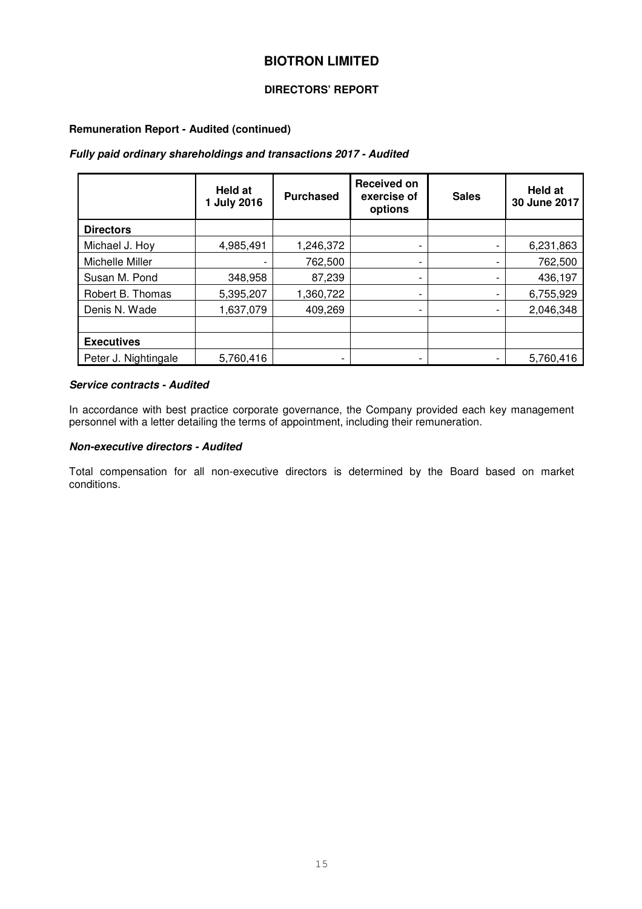#### **DIRECTORS' REPORT**

#### **Remuneration Report - Audited (continued)**

#### *Fully paid ordinary shareholdings and transactions 2017 - Audited*

|                      | Held at<br><b>July 2016</b> | <b>Purchased</b>         | <b>Received on</b><br>exercise of<br>options | <b>Sales</b> | Held at<br>30 June 2017 |
|----------------------|-----------------------------|--------------------------|----------------------------------------------|--------------|-------------------------|
| <b>Directors</b>     |                             |                          |                                              |              |                         |
| Michael J. Hoy       | 4,985,491                   | 1,246,372                |                                              |              | 6,231,863               |
| Michelle Miller      |                             | 762,500                  | ۰                                            |              | 762,500                 |
| Susan M. Pond        | 348,958                     | 87,239                   |                                              |              | 436,197                 |
| Robert B. Thomas     | 5,395,207                   | 1,360,722                |                                              |              | 6,755,929               |
| Denis N. Wade        | 1,637,079                   | 409,269                  |                                              | -            | 2,046,348               |
|                      |                             |                          |                                              |              |                         |
| <b>Executives</b>    |                             |                          |                                              |              |                         |
| Peter J. Nightingale | 5,760,416                   | $\overline{\phantom{0}}$ |                                              |              | 5,760,416               |

#### *Service contracts - Audited*

In accordance with best practice corporate governance, the Company provided each key management personnel with a letter detailing the terms of appointment, including their remuneration.

#### *Non-executive directors - Audited*

Total compensation for all non-executive directors is determined by the Board based on market conditions.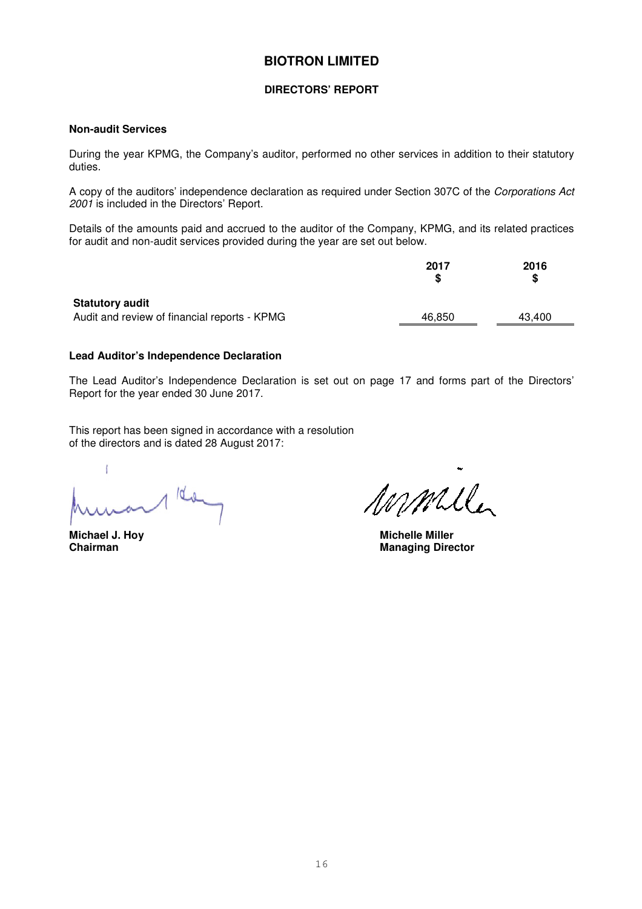#### **DIRECTORS' REPORT**

#### **Non-audit Services**

During the year KPMG, the Company's auditor, performed no other services in addition to their statutory duties.

A copy of the auditors' independence declaration as required under Section 307C of the *Corporations Act 2001* is included in the Directors' Report.

Details of the amounts paid and accrued to the auditor of the Company, KPMG, and its related practices for audit and non-audit services provided during the year are set out below.

|                                                                        | 2017   | 2016<br>S |
|------------------------------------------------------------------------|--------|-----------|
| <b>Statutory audit</b><br>Audit and review of financial reports - KPMG | 46.850 | 43.400    |
|                                                                        |        |           |

#### **Lead Auditor's Independence Declaration**

The Lead Auditor's Independence Declaration is set out on page 17 and forms part of the Directors' Report for the year ended 30 June 2017.

This report has been signed in accordance with a resolution of the directors and is dated 28 August 2017:

 $\mathbf{f}$  $100$ 

mmile

**Michael J. Hoy Michelle Miller Managing Director**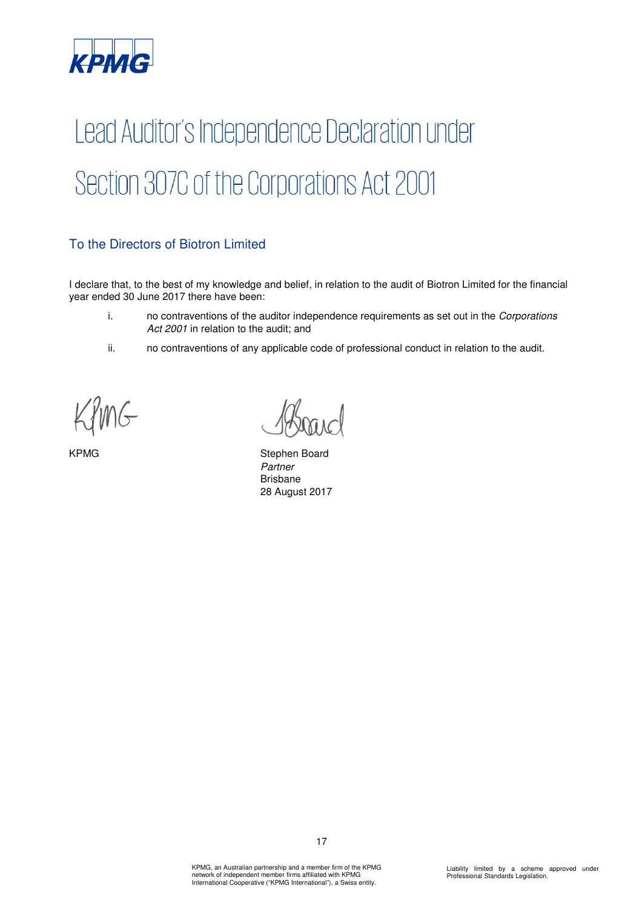

# Lead Auditor's Independence Declaration under Section 307C of the Corporations Act 2001

## To the Directors of Biotron Limited

I declare that, to the best of my knowledge and belief, in relation to the audit of Biotron Limited for the financial year ended 30 June 2017 there have been:

- i. no contraventions of the auditor independence requirements as set out in the *Corporations Act 2001* in relation to the audit; and
- ii. no contraventions of any applicable code of professional conduct in relation to the audit.

KPMG Stephen Board *Partner*  Brisbane 28 August 2017

17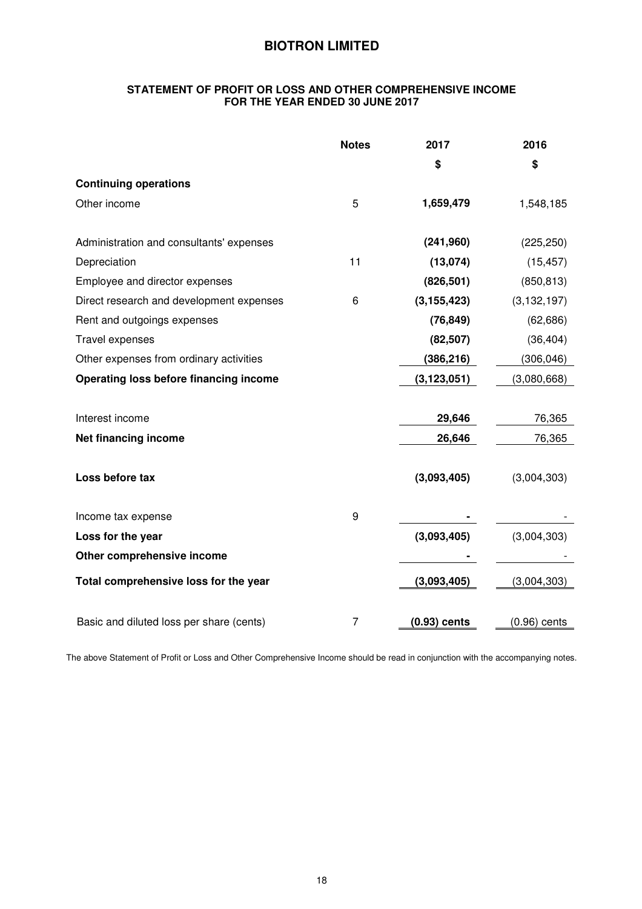#### **STATEMENT OF PROFIT OR LOSS AND OTHER COMPREHENSIVE INCOME FOR THE YEAR ENDED 30 JUNE 2017**

|                                          | <b>Notes</b>   | 2017           | 2016          |
|------------------------------------------|----------------|----------------|---------------|
|                                          |                | \$             | \$            |
| <b>Continuing operations</b>             |                |                |               |
| Other income                             | 5              | 1,659,479      | 1,548,185     |
|                                          |                |                |               |
| Administration and consultants' expenses |                | (241,960)      | (225, 250)    |
| Depreciation                             | 11             | (13,074)       | (15, 457)     |
| Employee and director expenses           |                | (826, 501)     | (850, 813)    |
| Direct research and development expenses | 6              | (3, 155, 423)  | (3, 132, 197) |
| Rent and outgoings expenses              |                | (76, 849)      | (62, 686)     |
| Travel expenses                          |                | (82, 507)      | (36, 404)     |
| Other expenses from ordinary activities  |                | (386, 216)     | (306, 046)    |
| Operating loss before financing income   |                | (3, 123, 051)  | (3,080,668)   |
|                                          |                |                |               |
| Interest income                          |                | 29,646         | 76,365        |
| Net financing income                     |                | 26,646         | 76,365        |
|                                          |                |                |               |
| Loss before tax                          |                | (3,093,405)    | (3,004,303)   |
|                                          |                |                |               |
| Income tax expense                       | 9              |                |               |
| Loss for the year                        |                | (3,093,405)    | (3,004,303)   |
| Other comprehensive income               |                |                |               |
| Total comprehensive loss for the year    |                | (3,093,405)    | (3,004,303)   |
|                                          |                |                |               |
| Basic and diluted loss per share (cents) | $\overline{7}$ | $(0.93)$ cents | (0.96) cents  |

The above Statement of Profit or Loss and Other Comprehensive Income should be read in conjunction with the accompanying notes.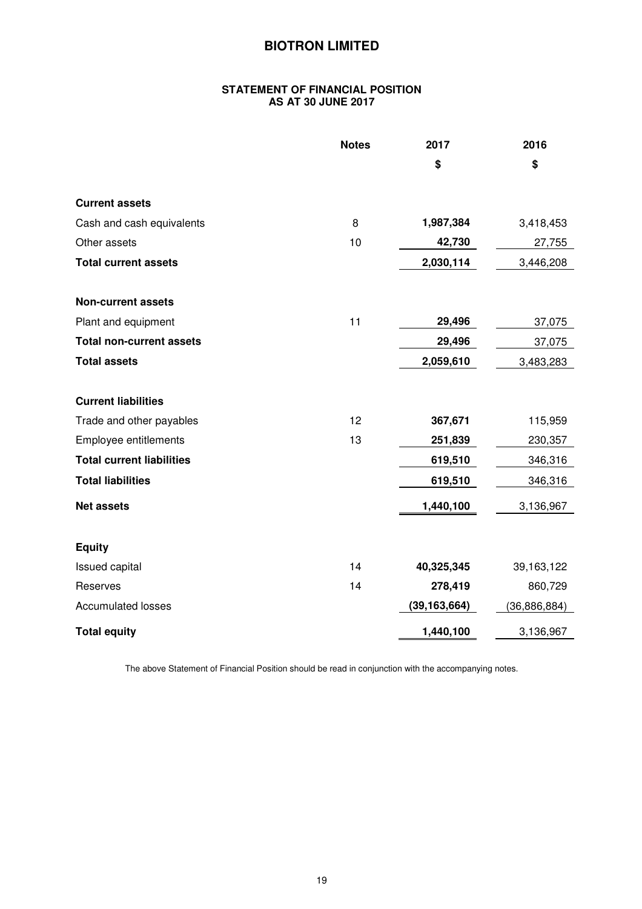#### **STATEMENT OF FINANCIAL POSITION AS AT 30 JUNE 2017**

|                                  | <b>Notes</b> | 2017           | 2016           |
|----------------------------------|--------------|----------------|----------------|
|                                  |              | \$             | \$             |
| <b>Current assets</b>            |              |                |                |
| Cash and cash equivalents        | 8            | 1,987,384      | 3,418,453      |
| Other assets                     | 10           | 42,730         | 27,755         |
| <b>Total current assets</b>      |              | 2,030,114      | 3,446,208      |
| <b>Non-current assets</b>        |              |                |                |
| Plant and equipment              | 11           | 29,496         | 37,075         |
| <b>Total non-current assets</b>  |              | 29,496         | 37,075         |
| <b>Total assets</b>              |              | 2,059,610      | 3,483,283      |
| <b>Current liabilities</b>       |              |                |                |
| Trade and other payables         | 12           | 367,671        | 115,959        |
| Employee entitlements            | 13           | 251,839        | 230,357        |
| <b>Total current liabilities</b> |              | 619,510        | 346,316        |
| <b>Total liabilities</b>         |              | 619,510        | 346,316        |
| <b>Net assets</b>                |              | 1,440,100      | 3,136,967      |
| <b>Equity</b>                    |              |                |                |
| <b>Issued capital</b>            | 14           | 40,325,345     | 39,163,122     |
| Reserves                         | 14           | 278,419        | 860,729        |
| <b>Accumulated losses</b>        |              | (39, 163, 664) | (36, 886, 884) |
| <b>Total equity</b>              |              | 1,440,100      | 3,136,967      |

The above Statement of Financial Position should be read in conjunction with the accompanying notes.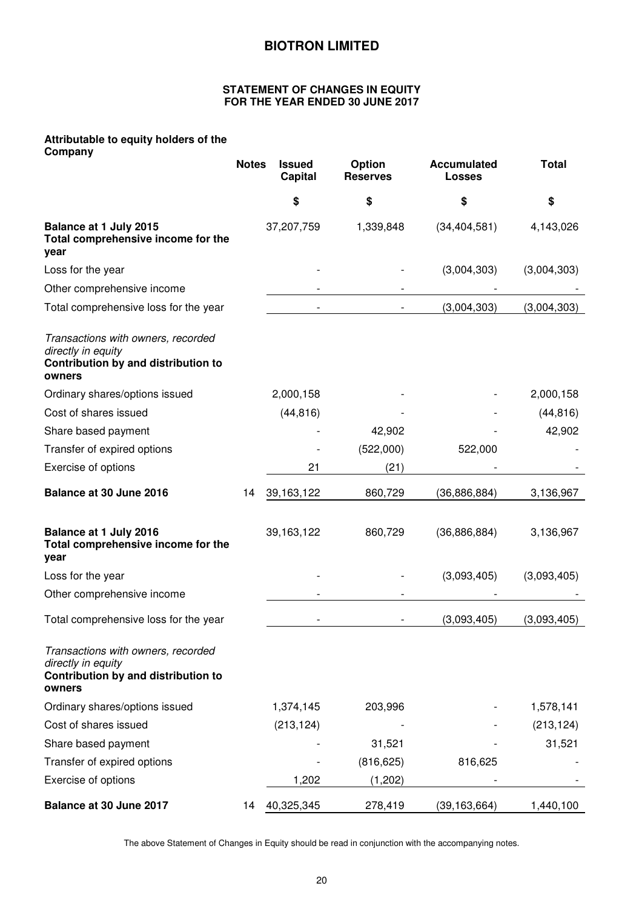#### **STATEMENT OF CHANGES IN EQUITY FOR THE YEAR ENDED 30 JUNE 2017**

## **Attributable to equity holders of the**

| Company                                                                                                   | <b>Notes</b> | <b>Issued</b><br><b>Capital</b> | Option<br><b>Reserves</b> | <b>Accumulated</b><br><b>Losses</b> | <b>Total</b> |
|-----------------------------------------------------------------------------------------------------------|--------------|---------------------------------|---------------------------|-------------------------------------|--------------|
|                                                                                                           |              | \$                              | \$                        | \$                                  | \$           |
| Balance at 1 July 2015<br>Total comprehensive income for the<br>year                                      |              | 37,207,759                      | 1,339,848                 | (34, 404, 581)                      | 4,143,026    |
| Loss for the year                                                                                         |              |                                 |                           | (3,004,303)                         | (3,004,303)  |
| Other comprehensive income                                                                                |              |                                 |                           |                                     |              |
| Total comprehensive loss for the year                                                                     |              |                                 |                           | (3,004,303)                         | (3,004,303)  |
| Transactions with owners, recorded<br>directly in equity<br>Contribution by and distribution to<br>owners |              |                                 |                           |                                     |              |
| Ordinary shares/options issued                                                                            |              | 2,000,158                       |                           |                                     | 2,000,158    |
| Cost of shares issued                                                                                     |              | (44, 816)                       |                           |                                     | (44, 816)    |
| Share based payment                                                                                       |              |                                 | 42,902                    |                                     | 42,902       |
| Transfer of expired options                                                                               |              |                                 | (522,000)                 | 522,000                             |              |
| Exercise of options                                                                                       |              | 21                              | (21)                      |                                     |              |
| Balance at 30 June 2016                                                                                   | 14           | 39,163,122                      | 860,729                   | (36, 886, 884)                      | 3,136,967    |
| Balance at 1 July 2016<br>Total comprehensive income for the<br>year                                      |              | 39,163,122                      | 860,729                   | (36, 886, 884)                      | 3,136,967    |
| Loss for the year                                                                                         |              |                                 |                           | (3,093,405)                         | (3,093,405)  |
| Other comprehensive income                                                                                |              |                                 |                           |                                     |              |
| Total comprehensive loss for the year                                                                     |              |                                 |                           | (3,093,405)                         | (3,093,405)  |
| Transactions with owners, recorded<br>directly in equity<br>Contribution by and distribution to<br>owners |              |                                 |                           |                                     |              |
| Ordinary shares/options issued                                                                            |              | 1,374,145                       | 203,996                   |                                     | 1,578,141    |
| Cost of shares issued                                                                                     |              | (213, 124)                      |                           |                                     | (213, 124)   |
| Share based payment                                                                                       |              |                                 | 31,521                    |                                     | 31,521       |
| Transfer of expired options                                                                               |              |                                 | (816, 625)                | 816,625                             |              |
| Exercise of options                                                                                       |              | 1,202                           | (1,202)                   |                                     |              |
| Balance at 30 June 2017                                                                                   | 14           | 40,325,345                      | 278,419                   | (39, 163, 664)                      | 1,440,100    |

The above Statement of Changes in Equity should be read in conjunction with the accompanying notes.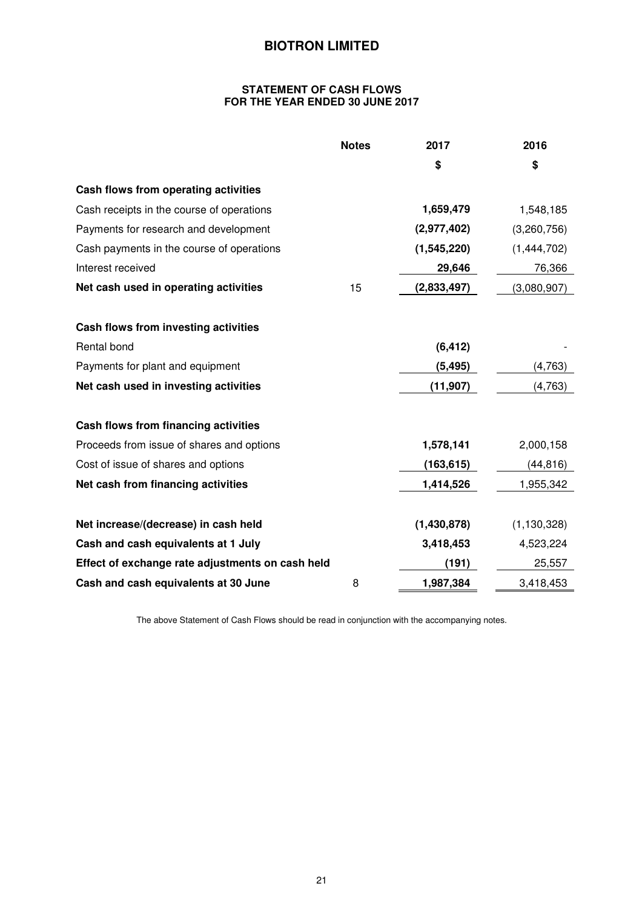#### **STATEMENT OF CASH FLOWS FOR THE YEAR ENDED 30 JUNE 2017**

|                                                  | <b>Notes</b> | 2017        | 2016          |
|--------------------------------------------------|--------------|-------------|---------------|
|                                                  |              | \$          | \$            |
| Cash flows from operating activities             |              |             |               |
| Cash receipts in the course of operations        |              | 1,659,479   | 1,548,185     |
| Payments for research and development            |              | (2,977,402) | (3,260,756)   |
| Cash payments in the course of operations        |              | (1,545,220) | (1,444,702)   |
| Interest received                                |              | 29,646      | 76,366        |
| Net cash used in operating activities            | 15           | (2,833,497) | (3,080,907)   |
| Cash flows from investing activities             |              |             |               |
| Rental bond                                      |              | (6, 412)    |               |
| Payments for plant and equipment                 |              | (5, 495)    | (4,763)       |
| Net cash used in investing activities            |              | (11, 907)   | (4, 763)      |
| Cash flows from financing activities             |              |             |               |
| Proceeds from issue of shares and options        |              | 1,578,141   | 2,000,158     |
| Cost of issue of shares and options              |              | (163, 615)  | (44, 816)     |
| Net cash from financing activities               |              | 1,414,526   | 1,955,342     |
| Net increase/(decrease) in cash held             |              | (1,430,878) | (1, 130, 328) |
| Cash and cash equivalents at 1 July              |              | 3,418,453   | 4,523,224     |
| Effect of exchange rate adjustments on cash held |              | (191)       | 25,557        |
| Cash and cash equivalents at 30 June             | 8            | 1,987,384   | 3,418,453     |

The above Statement of Cash Flows should be read in conjunction with the accompanying notes.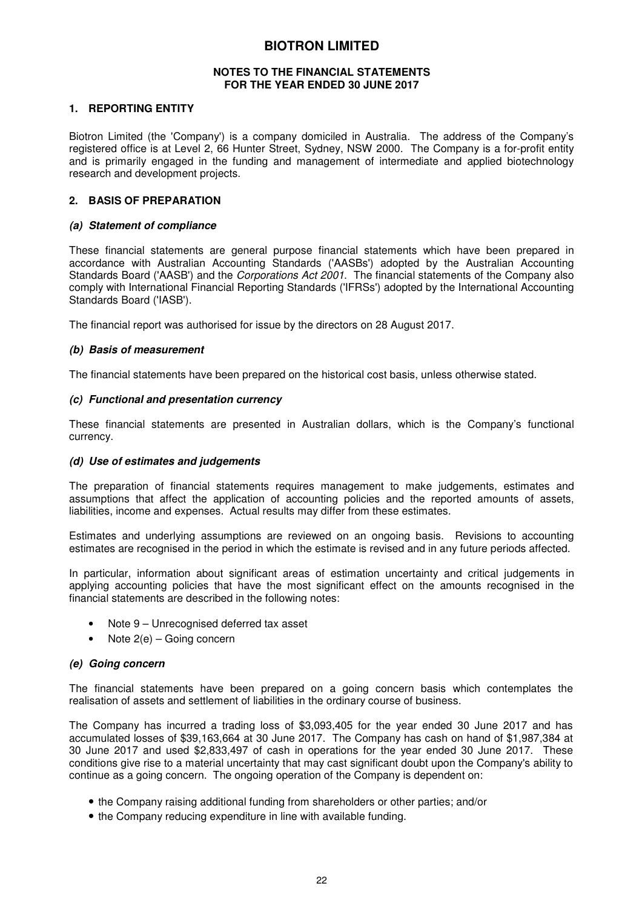#### **NOTES TO THE FINANCIAL STATEMENTS FOR THE YEAR ENDED 30 JUNE 2017**

#### **1. REPORTING ENTITY**

Biotron Limited (the 'Company') is a company domiciled in Australia. The address of the Company's registered office is at Level 2, 66 Hunter Street, Sydney, NSW 2000. The Company is a for-profit entity and is primarily engaged in the funding and management of intermediate and applied biotechnology research and development projects.

#### **2. BASIS OF PREPARATION**

#### *(a) Statement of compliance*

These financial statements are general purpose financial statements which have been prepared in accordance with Australian Accounting Standards ('AASBs') adopted by the Australian Accounting Standards Board ('AASB') and the *Corporations Act 2001*. The financial statements of the Company also comply with International Financial Reporting Standards ('IFRSs') adopted by the International Accounting Standards Board ('IASB').

The financial report was authorised for issue by the directors on 28 August 2017.

#### *(b) Basis of measurement*

The financial statements have been prepared on the historical cost basis, unless otherwise stated.

#### *(c) Functional and presentation currency*

These financial statements are presented in Australian dollars, which is the Company's functional currency.

#### *(d) Use of estimates and judgements*

The preparation of financial statements requires management to make judgements, estimates and assumptions that affect the application of accounting policies and the reported amounts of assets, liabilities, income and expenses. Actual results may differ from these estimates.

Estimates and underlying assumptions are reviewed on an ongoing basis. Revisions to accounting estimates are recognised in the period in which the estimate is revised and in any future periods affected.

In particular, information about significant areas of estimation uncertainty and critical judgements in applying accounting policies that have the most significant effect on the amounts recognised in the financial statements are described in the following notes:

- Note 9 Unrecognised deferred tax asset
- Note 2(e) Going concern

#### *(e) Going concern*

The financial statements have been prepared on a going concern basis which contemplates the realisation of assets and settlement of liabilities in the ordinary course of business.

The Company has incurred a trading loss of \$3,093,405 for the year ended 30 June 2017 and has accumulated losses of \$39,163,664 at 30 June 2017. The Company has cash on hand of \$1,987,384 at 30 June 2017 and used \$2,833,497 of cash in operations for the year ended 30 June 2017. These conditions give rise to a material uncertainty that may cast significant doubt upon the Company's ability to continue as a going concern. The ongoing operation of the Company is dependent on:

- the Company raising additional funding from shareholders or other parties; and/or
- the Company reducing expenditure in line with available funding.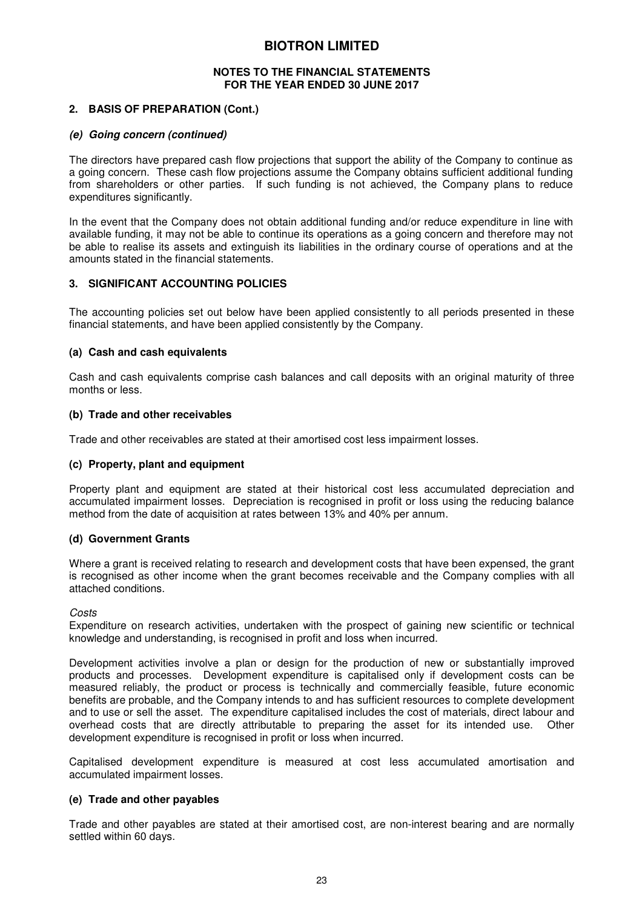#### **NOTES TO THE FINANCIAL STATEMENTS FOR THE YEAR ENDED 30 JUNE 2017**

#### **2. BASIS OF PREPARATION (Cont.)**

#### *(e) Going concern (continued)*

The directors have prepared cash flow projections that support the ability of the Company to continue as a going concern. These cash flow projections assume the Company obtains sufficient additional funding from shareholders or other parties. If such funding is not achieved, the Company plans to reduce expenditures significantly.

In the event that the Company does not obtain additional funding and/or reduce expenditure in line with available funding, it may not be able to continue its operations as a going concern and therefore may not be able to realise its assets and extinguish its liabilities in the ordinary course of operations and at the amounts stated in the financial statements.

#### **3. SIGNIFICANT ACCOUNTING POLICIES**

The accounting policies set out below have been applied consistently to all periods presented in these financial statements, and have been applied consistently by the Company.

#### **(a) Cash and cash equivalents**

Cash and cash equivalents comprise cash balances and call deposits with an original maturity of three months or less.

#### **(b) Trade and other receivables**

Trade and other receivables are stated at their amortised cost less impairment losses.

#### **(c) Property, plant and equipment**

Property plant and equipment are stated at their historical cost less accumulated depreciation and accumulated impairment losses. Depreciation is recognised in profit or loss using the reducing balance method from the date of acquisition at rates between 13% and 40% per annum.

#### **(d) Government Grants**

Where a grant is received relating to research and development costs that have been expensed, the grant is recognised as other income when the grant becomes receivable and the Company complies with all attached conditions.

*Costs* 

Expenditure on research activities, undertaken with the prospect of gaining new scientific or technical knowledge and understanding, is recognised in profit and loss when incurred.

Development activities involve a plan or design for the production of new or substantially improved products and processes. Development expenditure is capitalised only if development costs can be measured reliably, the product or process is technically and commercially feasible, future economic benefits are probable, and the Company intends to and has sufficient resources to complete development and to use or sell the asset. The expenditure capitalised includes the cost of materials, direct labour and overhead costs that are directly attributable to preparing the asset for its intended use. Other development expenditure is recognised in profit or loss when incurred.

Capitalised development expenditure is measured at cost less accumulated amortisation and accumulated impairment losses.

#### **(e) Trade and other payables**

Trade and other payables are stated at their amortised cost, are non-interest bearing and are normally settled within 60 days.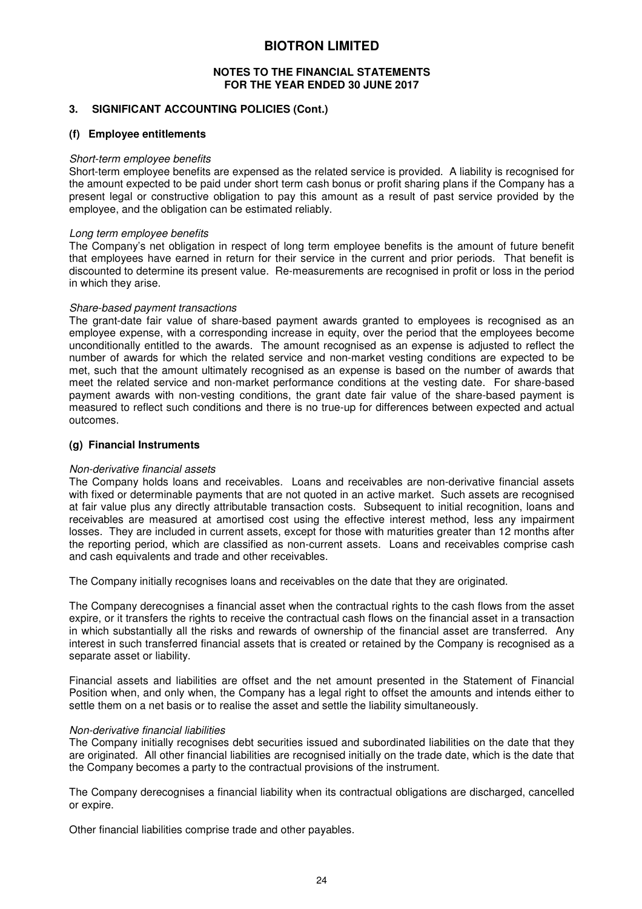#### **NOTES TO THE FINANCIAL STATEMENTS FOR THE YEAR ENDED 30 JUNE 2017**

#### **3. SIGNIFICANT ACCOUNTING POLICIES (Cont.)**

#### **(f) Employee entitlements**

#### *Short-term employee benefits*

Short-term employee benefits are expensed as the related service is provided. A liability is recognised for the amount expected to be paid under short term cash bonus or profit sharing plans if the Company has a present legal or constructive obligation to pay this amount as a result of past service provided by the employee, and the obligation can be estimated reliably.

#### *Long term employee benefits*

The Company's net obligation in respect of long term employee benefits is the amount of future benefit that employees have earned in return for their service in the current and prior periods. That benefit is discounted to determine its present value. Re-measurements are recognised in profit or loss in the period in which they arise.

#### *Share-based payment transactions*

The grant-date fair value of share-based payment awards granted to employees is recognised as an employee expense, with a corresponding increase in equity, over the period that the employees become unconditionally entitled to the awards. The amount recognised as an expense is adjusted to reflect the number of awards for which the related service and non-market vesting conditions are expected to be met, such that the amount ultimately recognised as an expense is based on the number of awards that meet the related service and non-market performance conditions at the vesting date. For share-based payment awards with non-vesting conditions, the grant date fair value of the share-based payment is measured to reflect such conditions and there is no true-up for differences between expected and actual outcomes.

#### **(g) Financial Instruments**

#### *Non-derivative financial assets*

The Company holds loans and receivables. Loans and receivables are non-derivative financial assets with fixed or determinable payments that are not quoted in an active market. Such assets are recognised at fair value plus any directly attributable transaction costs. Subsequent to initial recognition, loans and receivables are measured at amortised cost using the effective interest method, less any impairment losses. They are included in current assets, except for those with maturities greater than 12 months after the reporting period, which are classified as non-current assets. Loans and receivables comprise cash and cash equivalents and trade and other receivables.

The Company initially recognises loans and receivables on the date that they are originated.

The Company derecognises a financial asset when the contractual rights to the cash flows from the asset expire, or it transfers the rights to receive the contractual cash flows on the financial asset in a transaction in which substantially all the risks and rewards of ownership of the financial asset are transferred. Any interest in such transferred financial assets that is created or retained by the Company is recognised as a separate asset or liability.

Financial assets and liabilities are offset and the net amount presented in the Statement of Financial Position when, and only when, the Company has a legal right to offset the amounts and intends either to settle them on a net basis or to realise the asset and settle the liability simultaneously.

#### *Non-derivative financial liabilities*

The Company initially recognises debt securities issued and subordinated liabilities on the date that they are originated. All other financial liabilities are recognised initially on the trade date, which is the date that the Company becomes a party to the contractual provisions of the instrument.

The Company derecognises a financial liability when its contractual obligations are discharged, cancelled or expire.

Other financial liabilities comprise trade and other payables.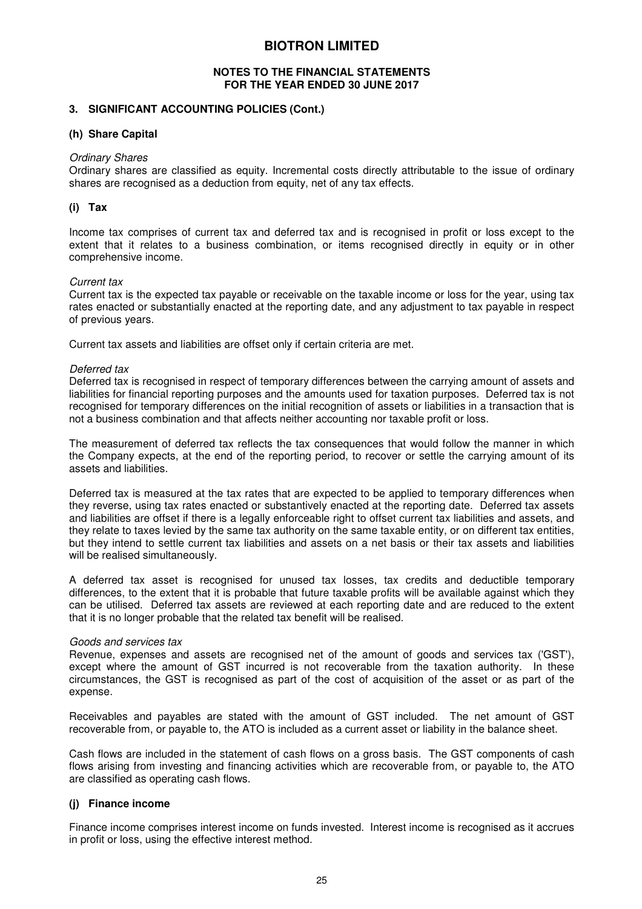#### **NOTES TO THE FINANCIAL STATEMENTS FOR THE YEAR ENDED 30 JUNE 2017**

#### **3. SIGNIFICANT ACCOUNTING POLICIES (Cont.)**

#### **(h) Share Capital**

#### *Ordinary Shares*

Ordinary shares are classified as equity. Incremental costs directly attributable to the issue of ordinary shares are recognised as a deduction from equity, net of any tax effects.

#### **(i) Tax**

Income tax comprises of current tax and deferred tax and is recognised in profit or loss except to the extent that it relates to a business combination, or items recognised directly in equity or in other comprehensive income.

#### *Current tax*

Current tax is the expected tax payable or receivable on the taxable income or loss for the year, using tax rates enacted or substantially enacted at the reporting date, and any adjustment to tax payable in respect of previous years.

Current tax assets and liabilities are offset only if certain criteria are met.

#### *Deferred tax*

Deferred tax is recognised in respect of temporary differences between the carrying amount of assets and liabilities for financial reporting purposes and the amounts used for taxation purposes. Deferred tax is not recognised for temporary differences on the initial recognition of assets or liabilities in a transaction that is not a business combination and that affects neither accounting nor taxable profit or loss.

The measurement of deferred tax reflects the tax consequences that would follow the manner in which the Company expects, at the end of the reporting period, to recover or settle the carrying amount of its assets and liabilities.

Deferred tax is measured at the tax rates that are expected to be applied to temporary differences when they reverse, using tax rates enacted or substantively enacted at the reporting date. Deferred tax assets and liabilities are offset if there is a legally enforceable right to offset current tax liabilities and assets, and they relate to taxes levied by the same tax authority on the same taxable entity, or on different tax entities, but they intend to settle current tax liabilities and assets on a net basis or their tax assets and liabilities will be realised simultaneously.

A deferred tax asset is recognised for unused tax losses, tax credits and deductible temporary differences, to the extent that it is probable that future taxable profits will be available against which they can be utilised. Deferred tax assets are reviewed at each reporting date and are reduced to the extent that it is no longer probable that the related tax benefit will be realised.

#### *Goods and services tax*

Revenue, expenses and assets are recognised net of the amount of goods and services tax ('GST'), except where the amount of GST incurred is not recoverable from the taxation authority. In these circumstances, the GST is recognised as part of the cost of acquisition of the asset or as part of the expense.

Receivables and payables are stated with the amount of GST included. The net amount of GST recoverable from, or payable to, the ATO is included as a current asset or liability in the balance sheet.

Cash flows are included in the statement of cash flows on a gross basis. The GST components of cash flows arising from investing and financing activities which are recoverable from, or payable to, the ATO are classified as operating cash flows.

#### **(j) Finance income**

Finance income comprises interest income on funds invested. Interest income is recognised as it accrues in profit or loss, using the effective interest method.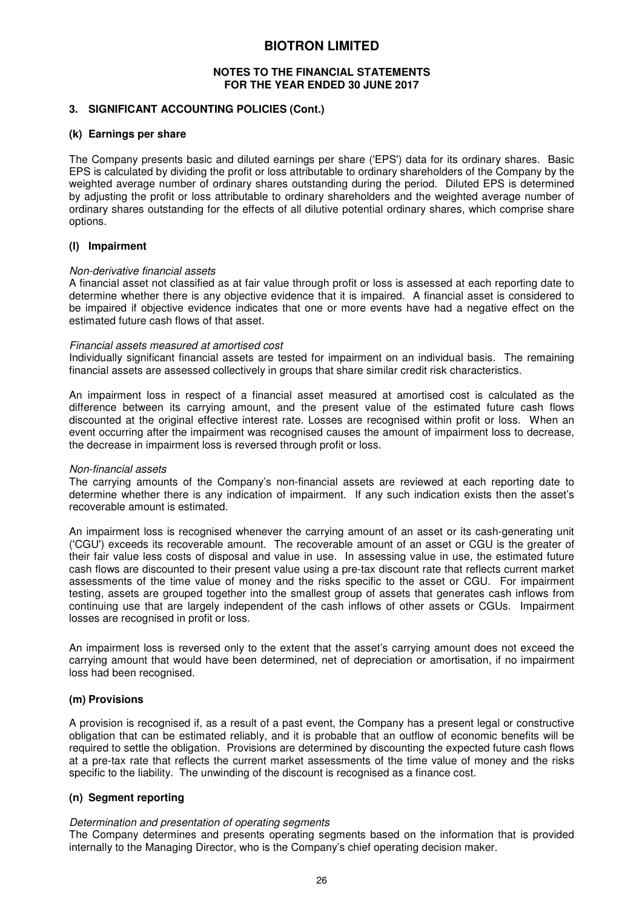#### **NOTES TO THE FINANCIAL STATEMENTS FOR THE YEAR ENDED 30 JUNE 2017**

#### **3. SIGNIFICANT ACCOUNTING POLICIES (Cont.)**

#### **(k) Earnings per share**

The Company presents basic and diluted earnings per share ('EPS') data for its ordinary shares. Basic EPS is calculated by dividing the profit or loss attributable to ordinary shareholders of the Company by the weighted average number of ordinary shares outstanding during the period. Diluted EPS is determined by adjusting the profit or loss attributable to ordinary shareholders and the weighted average number of ordinary shares outstanding for the effects of all dilutive potential ordinary shares, which comprise share options.

#### **(l) Impairment**

#### *Non-derivative financial assets*

A financial asset not classified as at fair value through profit or loss is assessed at each reporting date to determine whether there is any objective evidence that it is impaired. A financial asset is considered to be impaired if objective evidence indicates that one or more events have had a negative effect on the estimated future cash flows of that asset.

#### *Financial assets measured at amortised cost*

Individually significant financial assets are tested for impairment on an individual basis. The remaining financial assets are assessed collectively in groups that share similar credit risk characteristics.

An impairment loss in respect of a financial asset measured at amortised cost is calculated as the difference between its carrying amount, and the present value of the estimated future cash flows discounted at the original effective interest rate. Losses are recognised within profit or loss. When an event occurring after the impairment was recognised causes the amount of impairment loss to decrease, the decrease in impairment loss is reversed through profit or loss.

#### *Non-financial assets*

The carrying amounts of the Company's non-financial assets are reviewed at each reporting date to determine whether there is any indication of impairment. If any such indication exists then the asset's recoverable amount is estimated.

An impairment loss is recognised whenever the carrying amount of an asset or its cash-generating unit ('CGU') exceeds its recoverable amount. The recoverable amount of an asset or CGU is the greater of their fair value less costs of disposal and value in use. In assessing value in use, the estimated future cash flows are discounted to their present value using a pre-tax discount rate that reflects current market assessments of the time value of money and the risks specific to the asset or CGU. For impairment testing, assets are grouped together into the smallest group of assets that generates cash inflows from continuing use that are largely independent of the cash inflows of other assets or CGUs. Impairment losses are recognised in profit or loss.

An impairment loss is reversed only to the extent that the asset's carrying amount does not exceed the carrying amount that would have been determined, net of depreciation or amortisation, if no impairment loss had been recognised.

#### **(m) Provisions**

A provision is recognised if, as a result of a past event, the Company has a present legal or constructive obligation that can be estimated reliably, and it is probable that an outflow of economic benefits will be required to settle the obligation. Provisions are determined by discounting the expected future cash flows at a pre-tax rate that reflects the current market assessments of the time value of money and the risks specific to the liability. The unwinding of the discount is recognised as a finance cost.

#### **(n) Segment reporting**

#### *Determination and presentation of operating segments*

The Company determines and presents operating segments based on the information that is provided internally to the Managing Director, who is the Company's chief operating decision maker.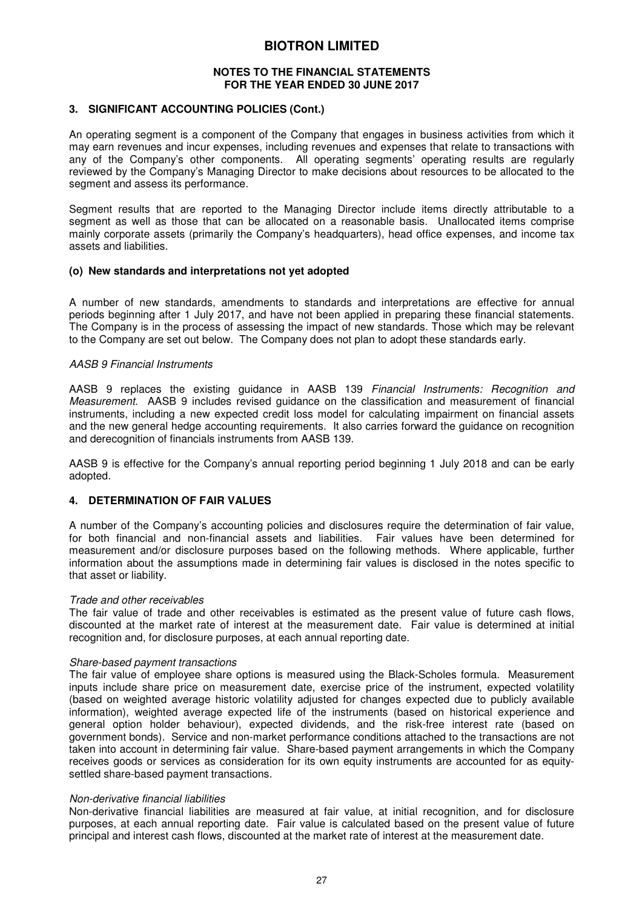#### **NOTES TO THE FINANCIAL STATEMENTS FOR THE YEAR ENDED 30 JUNE 2017**

#### **3. SIGNIFICANT ACCOUNTING POLICIES (Cont.)**

An operating segment is a component of the Company that engages in business activities from which it may earn revenues and incur expenses, including revenues and expenses that relate to transactions with any of the Company's other components. All operating segments' operating results are regularly reviewed by the Company's Managing Director to make decisions about resources to be allocated to the segment and assess its performance.

Segment results that are reported to the Managing Director include items directly attributable to a segment as well as those that can be allocated on a reasonable basis. Unallocated items comprise mainly corporate assets (primarily the Company's headquarters), head office expenses, and income tax assets and liabilities.

#### **(o) New standards and interpretations not yet adopted**

A number of new standards, amendments to standards and interpretations are effective for annual periods beginning after 1 July 2017, and have not been applied in preparing these financial statements. The Company is in the process of assessing the impact of new standards. Those which may be relevant to the Company are set out below. The Company does not plan to adopt these standards early.

#### *AASB 9 Financial Instruments*

AASB 9 replaces the existing guidance in AASB 139 *Financial Instruments: Recognition and Measurement.* AASB 9 includes revised guidance on the classification and measurement of financial instruments, including a new expected credit loss model for calculating impairment on financial assets and the new general hedge accounting requirements. It also carries forward the guidance on recognition and derecognition of financials instruments from AASB 139.

AASB 9 is effective for the Company's annual reporting period beginning 1 July 2018 and can be early adopted.

#### **4. DETERMINATION OF FAIR VALUES**

A number of the Company's accounting policies and disclosures require the determination of fair value, for both financial and non-financial assets and liabilities. Fair values have been determined for measurement and/or disclosure purposes based on the following methods. Where applicable, further information about the assumptions made in determining fair values is disclosed in the notes specific to that asset or liability.

#### *Trade and other receivables*

The fair value of trade and other receivables is estimated as the present value of future cash flows, discounted at the market rate of interest at the measurement date. Fair value is determined at initial recognition and, for disclosure purposes, at each annual reporting date.

#### *Share-based payment transactions*

The fair value of employee share options is measured using the Black-Scholes formula. Measurement inputs include share price on measurement date, exercise price of the instrument, expected volatility (based on weighted average historic volatility adjusted for changes expected due to publicly available information), weighted average expected life of the instruments (based on historical experience and general option holder behaviour), expected dividends, and the risk-free interest rate (based on government bonds). Service and non-market performance conditions attached to the transactions are not taken into account in determining fair value. Share-based payment arrangements in which the Company receives goods or services as consideration for its own equity instruments are accounted for as equitysettled share-based payment transactions.

#### *Non-derivative financial liabilities*

Non-derivative financial liabilities are measured at fair value, at initial recognition, and for disclosure purposes, at each annual reporting date. Fair value is calculated based on the present value of future principal and interest cash flows, discounted at the market rate of interest at the measurement date.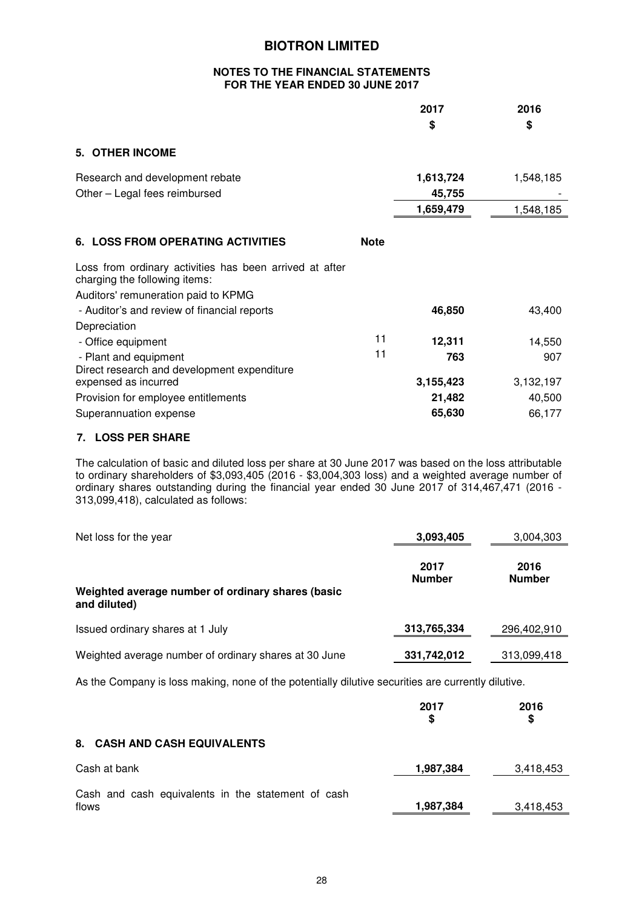#### **NOTES TO THE FINANCIAL STATEMENTS FOR THE YEAR ENDED 30 JUNE 2017**

| 2017   | 2016 |
|--------|------|
| æ<br>D | \$   |

#### **5. OTHER INCOME**

| Research and development rebate<br>Other - Legal fees reimbursed                         |             | 1,613,724<br>45,755 | 1,548,185 |
|------------------------------------------------------------------------------------------|-------------|---------------------|-----------|
|                                                                                          |             | 1,659,479           | 1,548,185 |
| <b>6. LOSS FROM OPERATING ACTIVITIES</b>                                                 | <b>Note</b> |                     |           |
| Loss from ordinary activities has been arrived at after<br>charging the following items: |             |                     |           |
| Auditors' remuneration paid to KPMG                                                      |             |                     |           |
| - Auditor's and review of financial reports                                              |             | 46,850              | 43,400    |
| Depreciation                                                                             |             |                     |           |
| - Office equipment                                                                       | 11          | 12,311              | 14,550    |
| - Plant and equipment                                                                    | 11          | 763                 | 907       |
| Direct research and development expenditure                                              |             |                     |           |
| expensed as incurred                                                                     |             | 3,155,423           | 3,132,197 |
| Provision for employee entitlements                                                      |             | 21,482              | 40,500    |
| Superannuation expense                                                                   |             | 65,630              | 66,177    |

## **7. LOSS PER SHARE**

The calculation of basic and diluted loss per share at 30 June 2017 was based on the loss attributable to ordinary shareholders of \$3,093,405 (2016 - \$3,004,303 loss) and a weighted average number of ordinary shares outstanding during the financial year ended 30 June 2017 of 314,467,471 (2016 - 313,099,418), calculated as follows:

| Net loss for the year                                             | 3,093,405             | 3,004,303             |
|-------------------------------------------------------------------|-----------------------|-----------------------|
| Weighted average number of ordinary shares (basic<br>and diluted) | 2017<br><b>Number</b> | 2016<br><b>Number</b> |
| Issued ordinary shares at 1 July                                  | 313,765,334           | 296,402,910           |
| Weighted average number of ordinary shares at 30 June             | 331,742,012           | 313,099,418           |

As the Company is loss making, none of the potentially dilutive securities are currently dilutive.

|                                                             | 2017<br>S | 2016<br>S |
|-------------------------------------------------------------|-----------|-----------|
| <b>8. CASH AND CASH EQUIVALENTS</b>                         |           |           |
| Cash at bank                                                | 1,987,384 | 3,418,453 |
| Cash and cash equivalents in the statement of cash<br>flows | 1,987,384 | 3,418,453 |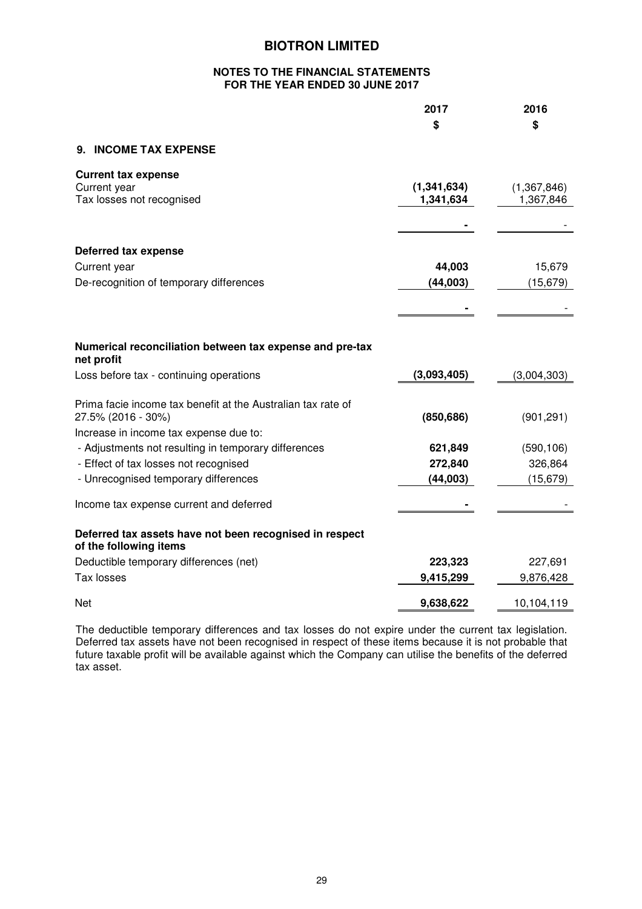#### **NOTES TO THE FINANCIAL STATEMENTS FOR THE YEAR ENDED 30 JUNE 2017**

|                                                                                   | 2017          | 2016        |
|-----------------------------------------------------------------------------------|---------------|-------------|
|                                                                                   | \$            | \$          |
| 9. INCOME TAX EXPENSE                                                             |               |             |
| <b>Current tax expense</b>                                                        |               |             |
| Current year                                                                      | (1, 341, 634) | (1,367,846) |
| Tax losses not recognised                                                         | 1,341,634     | 1,367,846   |
|                                                                                   |               |             |
| Deferred tax expense                                                              |               |             |
| Current year                                                                      | 44,003        | 15,679      |
| De-recognition of temporary differences                                           | (44,003)      | (15, 679)   |
|                                                                                   |               |             |
|                                                                                   |               |             |
|                                                                                   |               |             |
| Numerical reconciliation between tax expense and pre-tax<br>net profit            |               |             |
| Loss before tax - continuing operations                                           | (3,093,405)   | (3,004,303) |
| Prima facie income tax benefit at the Australian tax rate of                      |               |             |
| 27.5% (2016 - 30%)                                                                | (850, 686)    | (901, 291)  |
| Increase in income tax expense due to:                                            |               |             |
| - Adjustments not resulting in temporary differences                              | 621,849       | (590, 106)  |
| - Effect of tax losses not recognised                                             | 272,840       | 326,864     |
| - Unrecognised temporary differences                                              | (44,003)      | (15, 679)   |
| Income tax expense current and deferred                                           |               |             |
|                                                                                   |               |             |
| Deferred tax assets have not been recognised in respect<br>of the following items |               |             |
| Deductible temporary differences (net)                                            | 223,323       | 227,691     |
| Tax losses                                                                        | 9,415,299     | 9,876,428   |
| <b>Net</b>                                                                        | 9,638,622     | 10,104,119  |

The deductible temporary differences and tax losses do not expire under the current tax legislation. Deferred tax assets have not been recognised in respect of these items because it is not probable that future taxable profit will be available against which the Company can utilise the benefits of the deferred tax asset.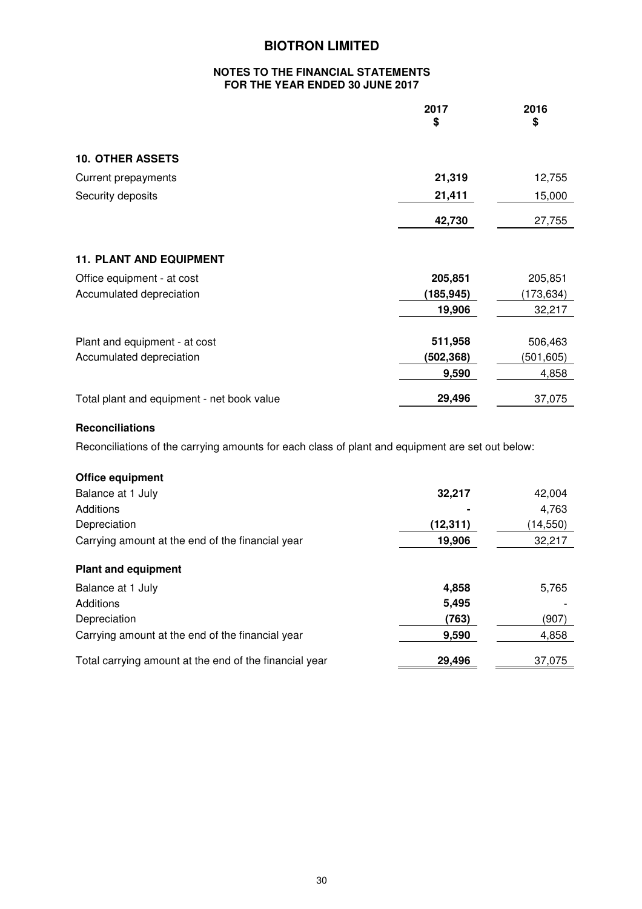#### **NOTES TO THE FINANCIAL STATEMENTS FOR THE YEAR ENDED 30 JUNE 2017**

|                                            | 2017<br>\$ | 2016<br>\$ |
|--------------------------------------------|------------|------------|
| <b>10. OTHER ASSETS</b>                    |            |            |
| <b>Current prepayments</b>                 | 21,319     | 12,755     |
| Security deposits                          | 21,411     | 15,000     |
|                                            | 42,730     | 27,755     |
| <b>11. PLANT AND EQUIPMENT</b>             |            |            |
| Office equipment - at cost                 | 205,851    | 205,851    |
| Accumulated depreciation                   | (185, 945) | (173, 634) |
|                                            | 19,906     | 32,217     |
| Plant and equipment - at cost              | 511,958    | 506,463    |
| Accumulated depreciation                   | (502,368)  | (501,605)  |
|                                            | 9,590      | 4,858      |
| Total plant and equipment - net book value | 29,496     | 37,075     |

## **Reconciliations**

Reconciliations of the carrying amounts for each class of plant and equipment are set out below:

| Office equipment                                       |           |           |
|--------------------------------------------------------|-----------|-----------|
| Balance at 1 July                                      | 32,217    | 42,004    |
| Additions                                              |           | 4,763     |
| Depreciation                                           | (12, 311) | (14, 550) |
| Carrying amount at the end of the financial year       | 19,906    | 32,217    |
|                                                        |           |           |
| <b>Plant and equipment</b>                             |           |           |
| Balance at 1 July                                      | 4,858     | 5,765     |
| Additions                                              | 5,495     |           |
| Depreciation                                           | (763)     | (907)     |
| Carrying amount at the end of the financial year       | 9,590     | 4,858     |
| Total carrying amount at the end of the financial year | 29,496    | 37,075    |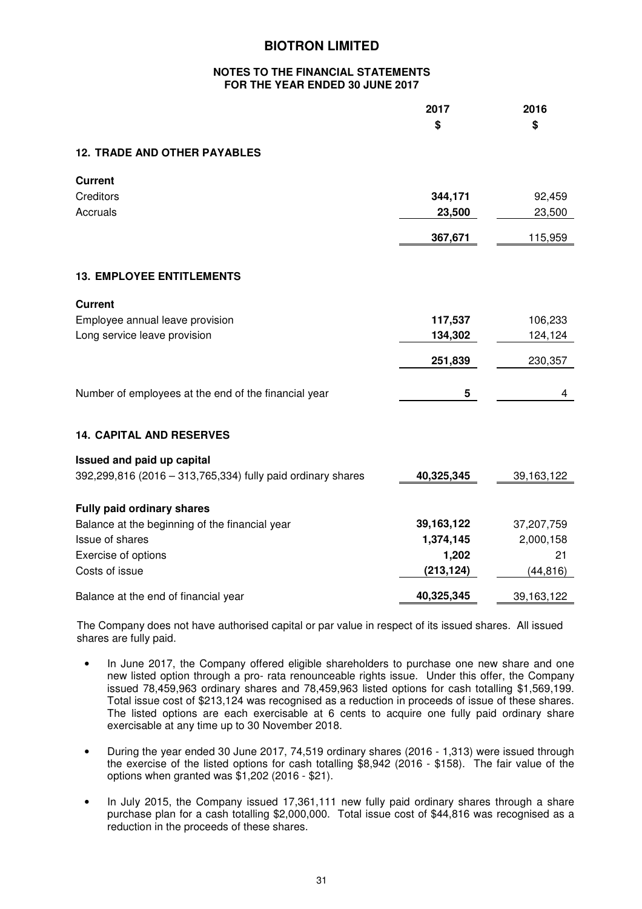#### **NOTES TO THE FINANCIAL STATEMENTS FOR THE YEAR ENDED 30 JUNE 2017**

|                                                             | 2017<br>\$   | 2016<br>\$   |
|-------------------------------------------------------------|--------------|--------------|
| <b>12. TRADE AND OTHER PAYABLES</b>                         |              |              |
| <b>Current</b>                                              |              |              |
| Creditors                                                   | 344,171      | 92,459       |
| Accruals                                                    | 23,500       | 23,500       |
|                                                             | 367,671      | 115,959      |
| <b>13. EMPLOYEE ENTITLEMENTS</b>                            |              |              |
| <b>Current</b>                                              |              |              |
| Employee annual leave provision                             | 117,537      | 106,233      |
| Long service leave provision                                | 134,302      | 124,124      |
|                                                             | 251,839      | 230,357      |
| Number of employees at the end of the financial year        | 5            | 4            |
| <b>14. CAPITAL AND RESERVES</b>                             |              |              |
| Issued and paid up capital                                  |              |              |
| 392,299,816 (2016 - 313,765,334) fully paid ordinary shares | 40,325,345   | 39, 163, 122 |
| <b>Fully paid ordinary shares</b>                           |              |              |
| Balance at the beginning of the financial year              | 39, 163, 122 | 37,207,759   |
| <b>Issue of shares</b>                                      | 1,374,145    | 2,000,158    |
| Exercise of options                                         | 1,202        | 21           |
| Costs of issue                                              | (213, 124)   | (44, 816)    |
| Balance at the end of financial year                        | 40,325,345   | 39,163,122   |

The Company does not have authorised capital or par value in respect of its issued shares. All issued shares are fully paid.

- In June 2017, the Company offered eligible shareholders to purchase one new share and one new listed option through a pro- rata renounceable rights issue. Under this offer, the Company issued 78,459,963 ordinary shares and 78,459,963 listed options for cash totalling \$1,569,199. Total issue cost of \$213,124 was recognised as a reduction in proceeds of issue of these shares. The listed options are each exercisable at 6 cents to acquire one fully paid ordinary share exercisable at any time up to 30 November 2018.
- During the year ended 30 June 2017, 74,519 ordinary shares (2016 1,313) were issued through the exercise of the listed options for cash totalling \$8,942 (2016 - \$158). The fair value of the options when granted was \$1,202 (2016 - \$21).
- In July 2015, the Company issued 17,361,111 new fully paid ordinary shares through a share purchase plan for a cash totalling \$2,000,000. Total issue cost of \$44,816 was recognised as a reduction in the proceeds of these shares.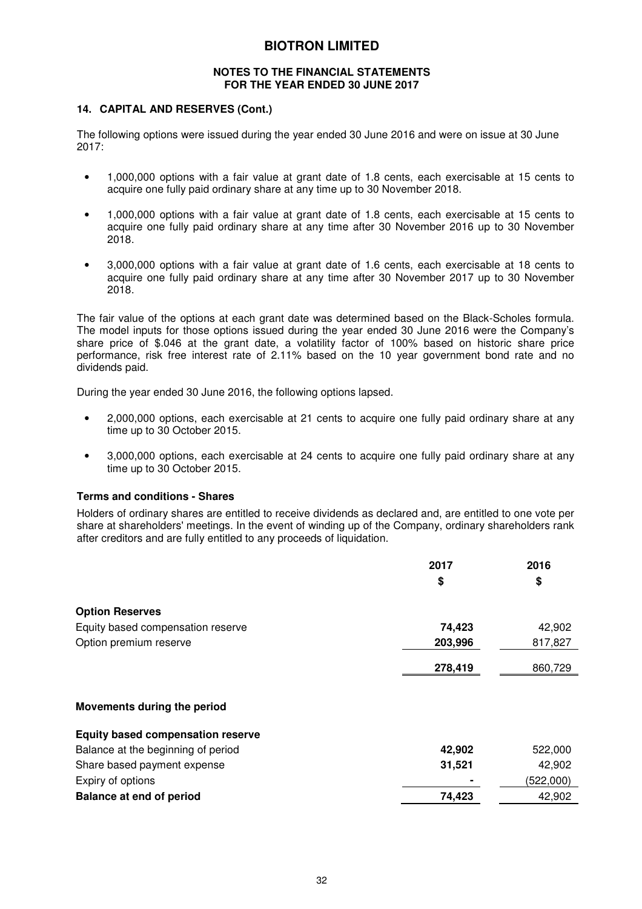#### **NOTES TO THE FINANCIAL STATEMENTS FOR THE YEAR ENDED 30 JUNE 2017**

#### **14. CAPITAL AND RESERVES (Cont.)**

The following options were issued during the year ended 30 June 2016 and were on issue at 30 June 2017:

- 1,000,000 options with a fair value at grant date of 1.8 cents, each exercisable at 15 cents to acquire one fully paid ordinary share at any time up to 30 November 2018.
- 1,000,000 options with a fair value at grant date of 1.8 cents, each exercisable at 15 cents to acquire one fully paid ordinary share at any time after 30 November 2016 up to 30 November 2018.
- 3,000,000 options with a fair value at grant date of 1.6 cents, each exercisable at 18 cents to acquire one fully paid ordinary share at any time after 30 November 2017 up to 30 November 2018.

The fair value of the options at each grant date was determined based on the Black-Scholes formula. The model inputs for those options issued during the year ended 30 June 2016 were the Company's share price of \$.046 at the grant date, a volatility factor of 100% based on historic share price performance, risk free interest rate of 2.11% based on the 10 year government bond rate and no dividends paid.

During the year ended 30 June 2016, the following options lapsed.

- 2,000,000 options, each exercisable at 21 cents to acquire one fully paid ordinary share at any time up to 30 October 2015.
- 3,000,000 options, each exercisable at 24 cents to acquire one fully paid ordinary share at any time up to 30 October 2015.

#### **Terms and conditions - Shares**

Holders of ordinary shares are entitled to receive dividends as declared and, are entitled to one vote per share at shareholders' meetings. In the event of winding up of the Company, ordinary shareholders rank after creditors and are fully entitled to any proceeds of liquidation.

|                                          | 2017<br>\$ | 2016<br>\$ |
|------------------------------------------|------------|------------|
| <b>Option Reserves</b>                   |            |            |
| Equity based compensation reserve        | 74,423     | 42,902     |
| Option premium reserve                   | 203,996    | 817,827    |
|                                          | 278,419    | 860,729    |
| Movements during the period              |            |            |
| <b>Equity based compensation reserve</b> |            |            |
| Balance at the beginning of period       | 42,902     | 522,000    |
| Share based payment expense              | 31,521     | 42,902     |
| Expiry of options                        |            | (522,000)  |
| <b>Balance at end of period</b>          | 74,423     | 42,902     |
|                                          |            |            |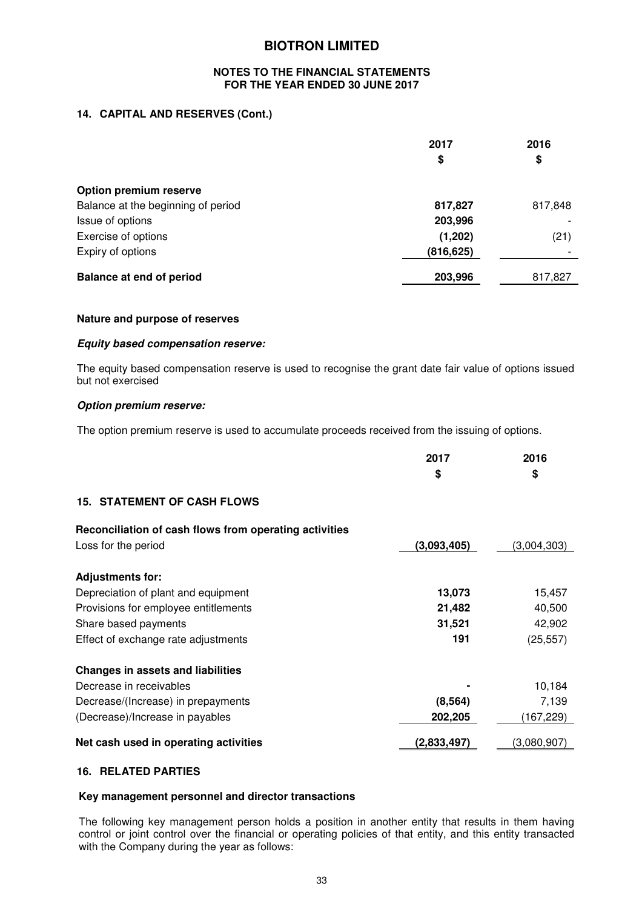#### **NOTES TO THE FINANCIAL STATEMENTS FOR THE YEAR ENDED 30 JUNE 2017**

## **14. CAPITAL AND RESERVES (Cont.)**

|                                    | 2017<br>\$ | 2016<br>\$ |
|------------------------------------|------------|------------|
| Option premium reserve             |            |            |
| Balance at the beginning of period | 817,827    | 817,848    |
| Issue of options                   | 203,996    |            |
| Exercise of options                | (1,202)    | (21)       |
| Expiry of options                  | (816, 625) |            |
| <b>Balance at end of period</b>    | 203,996    | 817,827    |

#### **Nature and purpose of reserves**

#### *Equity based compensation reserve:*

The equity based compensation reserve is used to recognise the grant date fair value of options issued but not exercised

#### *Option premium reserve:*

The option premium reserve is used to accumulate proceeds received from the issuing of options.

|                                                                               | 2017<br>\$  | 2016<br>\$  |
|-------------------------------------------------------------------------------|-------------|-------------|
| <b>15. STATEMENT OF CASH FLOWS</b>                                            |             |             |
| Reconciliation of cash flows from operating activities<br>Loss for the period | (3,093,405) | (3.004.303) |
| <b>Adjustments for:</b>                                                       |             |             |
| Depreciation of plant and equipment                                           | 13,073      | 15,457      |
| Provisions for employee entitlements                                          | 21,482      | 40,500      |
| Share based payments                                                          | 31,521      | 42,902      |
| Effect of exchange rate adjustments                                           | 191         | (25, 557)   |

| <b>Changes in assets and liabilities</b> |             |             |
|------------------------------------------|-------------|-------------|
| Decrease in receivables                  | ۰           | 10.184      |
| Decrease/(Increase) in prepayments       | (8, 564)    | 7.139       |
| (Decrease)/Increase in payables          | 202,205     | (167,229)   |
| Net cash used in operating activities    | (2,833,497) | (3,080,907) |

#### **16. RELATED PARTIES**

#### **Key management personnel and director transactions**

The following key management person holds a position in another entity that results in them having control or joint control over the financial or operating policies of that entity, and this entity transacted with the Company during the year as follows: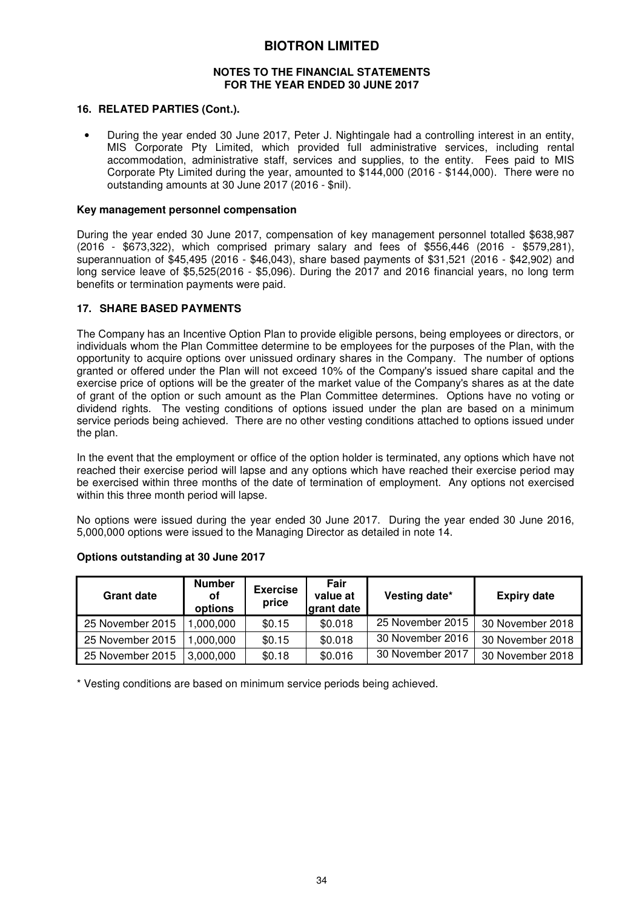#### **NOTES TO THE FINANCIAL STATEMENTS FOR THE YEAR ENDED 30 JUNE 2017**

#### **16. RELATED PARTIES (Cont.).**

• During the year ended 30 June 2017, Peter J. Nightingale had a controlling interest in an entity, MIS Corporate Pty Limited, which provided full administrative services, including rental accommodation, administrative staff, services and supplies, to the entity. Fees paid to MIS Corporate Pty Limited during the year, amounted to \$144,000 (2016 - \$144,000). There were no outstanding amounts at 30 June 2017 (2016 - \$nil).

#### **Key management personnel compensation**

During the year ended 30 June 2017, compensation of key management personnel totalled \$638,987 (2016 - \$673,322), which comprised primary salary and fees of \$556,446 (2016 - \$579,281), superannuation of \$45,495 (2016 - \$46,043), share based payments of \$31,521 (2016 - \$42,902) and long service leave of \$5,525(2016 - \$5,096). During the 2017 and 2016 financial years, no long term benefits or termination payments were paid.

#### **17. SHARE BASED PAYMENTS**

The Company has an Incentive Option Plan to provide eligible persons, being employees or directors, or individuals whom the Plan Committee determine to be employees for the purposes of the Plan, with the opportunity to acquire options over unissued ordinary shares in the Company. The number of options granted or offered under the Plan will not exceed 10% of the Company's issued share capital and the exercise price of options will be the greater of the market value of the Company's shares as at the date of grant of the option or such amount as the Plan Committee determines. Options have no voting or dividend rights. The vesting conditions of options issued under the plan are based on a minimum service periods being achieved. There are no other vesting conditions attached to options issued under the plan.

In the event that the employment or office of the option holder is terminated, any options which have not reached their exercise period will lapse and any options which have reached their exercise period may be exercised within three months of the date of termination of employment. Any options not exercised within this three month period will lapse.

No options were issued during the year ended 30 June 2017. During the year ended 30 June 2016, 5,000,000 options were issued to the Managing Director as detailed in note 14.

| <b>Grant date</b> | <b>Number</b><br>οf<br>options | <b>Exercise</b><br>price | Fair<br>value at<br>grant date | Vesting date*    | <b>Expiry date</b> |
|-------------------|--------------------------------|--------------------------|--------------------------------|------------------|--------------------|
| 25 November 2015  | 1,000,000                      | \$0.15                   | \$0.018                        | 25 November 2015 | 30 November 2018   |
| 25 November 2015  | 1.000.000                      | \$0.15                   | \$0.018                        | 30 November 2016 | 30 November 2018   |
| 25 November 2015  | 3,000,000                      | \$0.18                   | \$0.016                        | 30 November 2017 | 30 November 2018   |

#### **Options outstanding at 30 June 2017**

\* Vesting conditions are based on minimum service periods being achieved.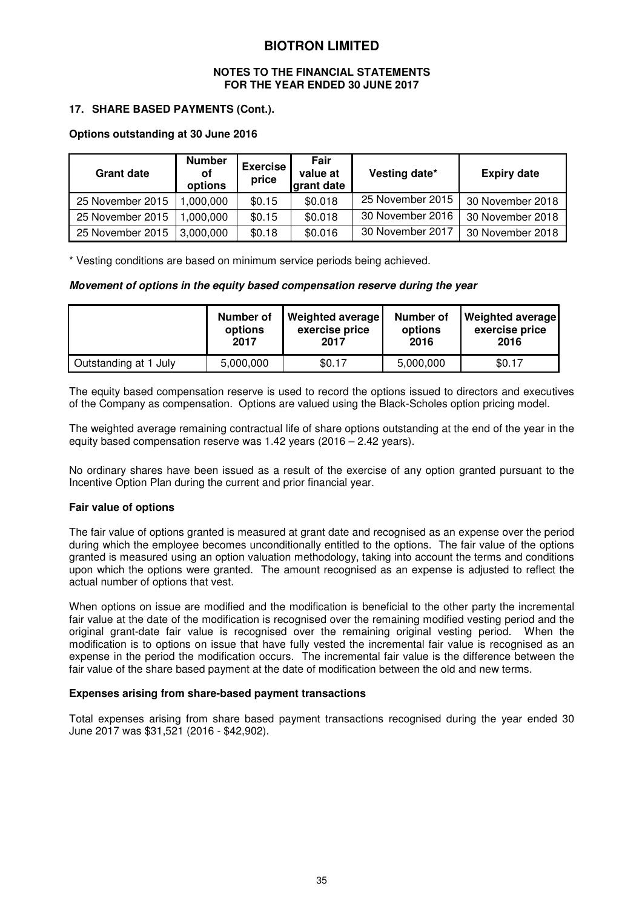#### **NOTES TO THE FINANCIAL STATEMENTS FOR THE YEAR ENDED 30 JUNE 2017**

#### **17. SHARE BASED PAYMENTS (Cont.).**

#### **Options outstanding at 30 June 2016**

| <b>Grant date</b> | <b>Number</b><br>οf<br>options | <b>Exercise</b><br>price | Fair<br>value at<br>grant date | Vesting date*    | <b>Expiry date</b> |
|-------------------|--------------------------------|--------------------------|--------------------------------|------------------|--------------------|
| 25 November 2015  | ,000,000                       | \$0.15                   | \$0.018                        | 25 November 2015 | 30 November 2018   |
| 25 November 2015  | .000.000                       | \$0.15                   | \$0.018                        | 30 November 2016 | 30 November 2018   |
| 25 November 2015  | 3,000,000                      | \$0.18                   | \$0.016                        | 30 November 2017 | 30 November 2018   |

\* Vesting conditions are based on minimum service periods being achieved.

#### *Movement of options in the equity based compensation reserve during the year*

|                       | Number of | Weighted average | Number of | <b>Weighted average</b> |
|-----------------------|-----------|------------------|-----------|-------------------------|
|                       | options   | exercise price   | options   | exercise price          |
|                       | 2017      | 2017             | 2016      | 2016                    |
| Outstanding at 1 July | 5,000,000 | \$0.17           | 5,000,000 | \$0.17                  |

The equity based compensation reserve is used to record the options issued to directors and executives of the Company as compensation. Options are valued using the Black-Scholes option pricing model.

The weighted average remaining contractual life of share options outstanding at the end of the year in the equity based compensation reserve was 1.42 years (2016 – 2.42 years).

No ordinary shares have been issued as a result of the exercise of any option granted pursuant to the Incentive Option Plan during the current and prior financial year.

#### **Fair value of options**

The fair value of options granted is measured at grant date and recognised as an expense over the period during which the employee becomes unconditionally entitled to the options. The fair value of the options granted is measured using an option valuation methodology, taking into account the terms and conditions upon which the options were granted. The amount recognised as an expense is adjusted to reflect the actual number of options that vest.

When options on issue are modified and the modification is beneficial to the other party the incremental fair value at the date of the modification is recognised over the remaining modified vesting period and the original grant-date fair value is recognised over the remaining original vesting period. When the modification is to options on issue that have fully vested the incremental fair value is recognised as an expense in the period the modification occurs. The incremental fair value is the difference between the fair value of the share based payment at the date of modification between the old and new terms.

#### **Expenses arising from share-based payment transactions**

Total expenses arising from share based payment transactions recognised during the year ended 30 June 2017 was \$31,521 (2016 - \$42,902).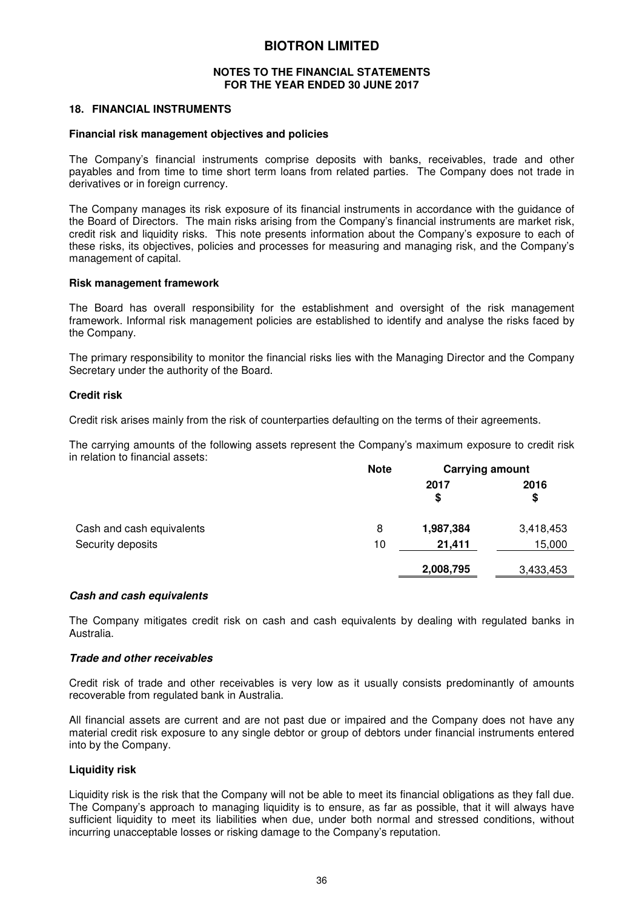#### **NOTES TO THE FINANCIAL STATEMENTS FOR THE YEAR ENDED 30 JUNE 2017**

#### **18. FINANCIAL INSTRUMENTS**

#### **Financial risk management objectives and policies**

The Company's financial instruments comprise deposits with banks, receivables, trade and other payables and from time to time short term loans from related parties. The Company does not trade in derivatives or in foreign currency.

The Company manages its risk exposure of its financial instruments in accordance with the guidance of the Board of Directors. The main risks arising from the Company's financial instruments are market risk, credit risk and liquidity risks. This note presents information about the Company's exposure to each of these risks, its objectives, policies and processes for measuring and managing risk, and the Company's management of capital.

#### **Risk management framework**

The Board has overall responsibility for the establishment and oversight of the risk management framework. Informal risk management policies are established to identify and analyse the risks faced by the Company.

The primary responsibility to monitor the financial risks lies with the Managing Director and the Company Secretary under the authority of the Board.

#### **Credit risk**

Credit risk arises mainly from the risk of counterparties defaulting on the terms of their agreements.

The carrying amounts of the following assets represent the Company's maximum exposure to credit risk in relation to financial assets:

|                           | <b>Note</b> | <b>Carrying amount</b> |            |  |
|---------------------------|-------------|------------------------|------------|--|
|                           |             | 2017<br>\$             | 2016<br>\$ |  |
| Cash and cash equivalents | 8           | 1,987,384              | 3,418,453  |  |
| Security deposits         | 10          | 21,411                 | 15,000     |  |
|                           |             | 2,008,795              | 3,433,453  |  |

#### *Cash and cash equivalents*

The Company mitigates credit risk on cash and cash equivalents by dealing with regulated banks in Australia.

#### *Trade and other receivables*

Credit risk of trade and other receivables is very low as it usually consists predominantly of amounts recoverable from regulated bank in Australia.

All financial assets are current and are not past due or impaired and the Company does not have any material credit risk exposure to any single debtor or group of debtors under financial instruments entered into by the Company.

#### **Liquidity risk**

Liquidity risk is the risk that the Company will not be able to meet its financial obligations as they fall due. The Company's approach to managing liquidity is to ensure, as far as possible, that it will always have sufficient liquidity to meet its liabilities when due, under both normal and stressed conditions, without incurring unacceptable losses or risking damage to the Company's reputation.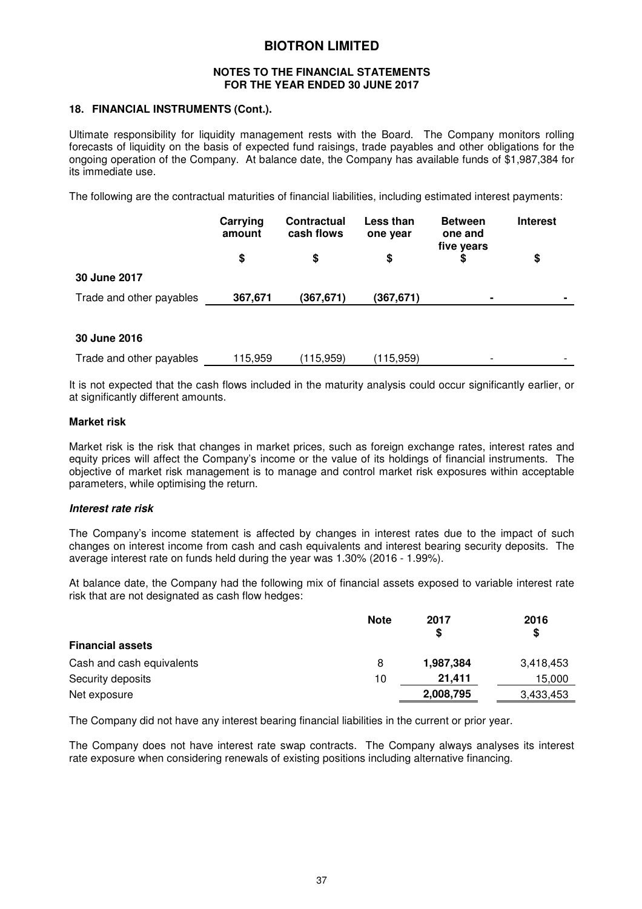#### **NOTES TO THE FINANCIAL STATEMENTS FOR THE YEAR ENDED 30 JUNE 2017**

#### **18. FINANCIAL INSTRUMENTS (Cont.).**

Ultimate responsibility for liquidity management rests with the Board. The Company monitors rolling forecasts of liquidity on the basis of expected fund raisings, trade payables and other obligations for the ongoing operation of the Company. At balance date, the Company has available funds of \$1,987,384 for its immediate use.

The following are the contractual maturities of financial liabilities, including estimated interest payments:

|                          | Carrying<br>amount | <b>Contractual</b><br>cash flows | Less than<br>one year | <b>Between</b><br>one and<br>five years | <b>Interest</b> |
|--------------------------|--------------------|----------------------------------|-----------------------|-----------------------------------------|-----------------|
|                          |                    | S                                |                       |                                         | \$              |
| 30 June 2017             |                    |                                  |                       |                                         |                 |
| Trade and other payables | 367,671            | (367,671)                        | (367,671)             | $\blacksquare$                          | $\blacksquare$  |

#### **30 June 2016**

| Trade and other payables | 115.959 | (115,959) | (115, 959) |  |  |
|--------------------------|---------|-----------|------------|--|--|
|--------------------------|---------|-----------|------------|--|--|

It is not expected that the cash flows included in the maturity analysis could occur significantly earlier, or at significantly different amounts.

#### **Market risk**

Market risk is the risk that changes in market prices, such as foreign exchange rates, interest rates and equity prices will affect the Company's income or the value of its holdings of financial instruments. The objective of market risk management is to manage and control market risk exposures within acceptable parameters, while optimising the return.

#### *Interest rate risk*

The Company's income statement is affected by changes in interest rates due to the impact of such changes on interest income from cash and cash equivalents and interest bearing security deposits. The average interest rate on funds held during the year was 1.30% (2016 - 1.99%).

At balance date, the Company had the following mix of financial assets exposed to variable interest rate risk that are not designated as cash flow hedges:

|                           | <b>Note</b> | 2017<br>S | 2016<br>S |
|---------------------------|-------------|-----------|-----------|
| <b>Financial assets</b>   |             |           |           |
| Cash and cash equivalents | 8           | 1,987,384 | 3,418,453 |
| Security deposits         | 10          | 21.411    | 15,000    |
| Net exposure              |             | 2,008,795 | 3.433.453 |

The Company did not have any interest bearing financial liabilities in the current or prior year.

The Company does not have interest rate swap contracts. The Company always analyses its interest rate exposure when considering renewals of existing positions including alternative financing.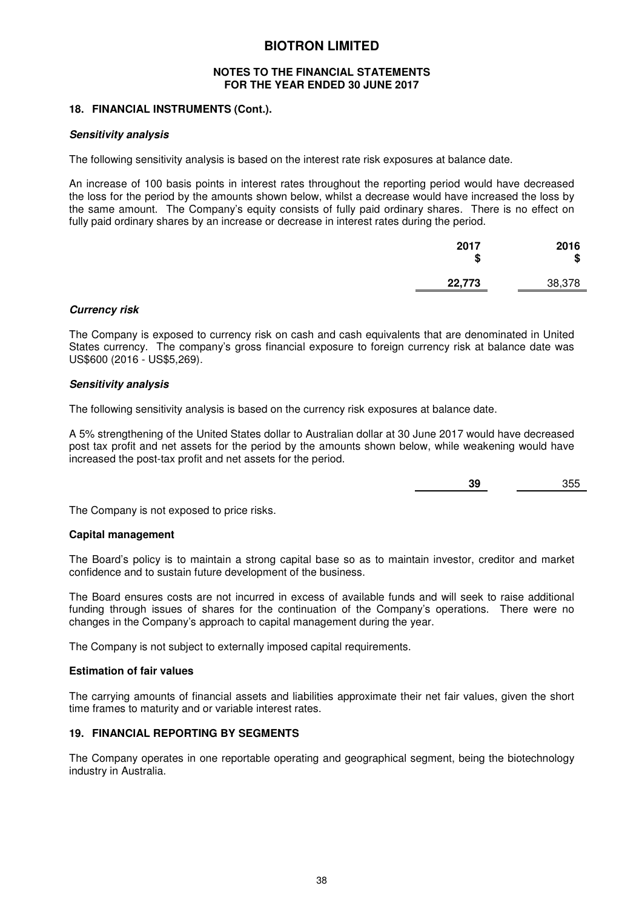#### **NOTES TO THE FINANCIAL STATEMENTS FOR THE YEAR ENDED 30 JUNE 2017**

#### **18. FINANCIAL INSTRUMENTS (Cont.).**

#### *Sensitivity analysis*

The following sensitivity analysis is based on the interest rate risk exposures at balance date.

An increase of 100 basis points in interest rates throughout the reporting period would have decreased the loss for the period by the amounts shown below, whilst a decrease would have increased the loss by the same amount. The Company's equity consists of fully paid ordinary shares. There is no effect on fully paid ordinary shares by an increase or decrease in interest rates during the period.

| 2017<br>œ<br>۰D | 2016<br>\$ |
|-----------------|------------|
| 22,773          | 38,378     |

#### *Currency risk*

The Company is exposed to currency risk on cash and cash equivalents that are denominated in United States currency. The company's gross financial exposure to foreign currency risk at balance date was US\$600 (2016 - US\$5,269).

#### *Sensitivity analysis*

The following sensitivity analysis is based on the currency risk exposures at balance date.

A 5% strengthening of the United States dollar to Australian dollar at 30 June 2017 would have decreased post tax profit and net assets for the period by the amounts shown below, while weakening would have increased the post-tax profit and net assets for the period.

**39** 355

The Company is not exposed to price risks.

#### **Capital management**

The Board's policy is to maintain a strong capital base so as to maintain investor, creditor and market confidence and to sustain future development of the business.

The Board ensures costs are not incurred in excess of available funds and will seek to raise additional funding through issues of shares for the continuation of the Company's operations. There were no changes in the Company's approach to capital management during the year.

The Company is not subject to externally imposed capital requirements.

#### **Estimation of fair values**

The carrying amounts of financial assets and liabilities approximate their net fair values, given the short time frames to maturity and or variable interest rates.

#### **19. FINANCIAL REPORTING BY SEGMENTS**

The Company operates in one reportable operating and geographical segment, being the biotechnology industry in Australia.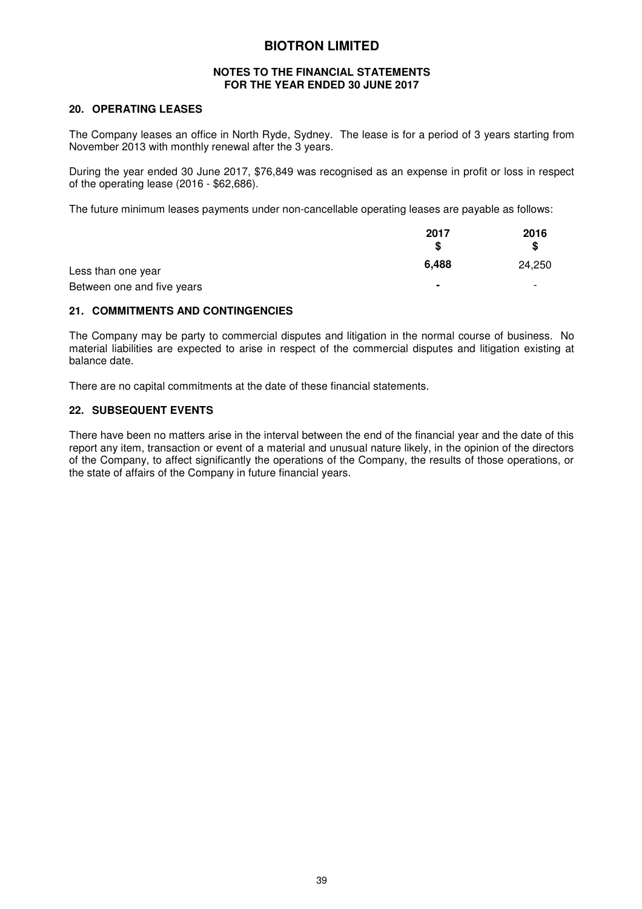#### **NOTES TO THE FINANCIAL STATEMENTS FOR THE YEAR ENDED 30 JUNE 2017**

#### **20. OPERATING LEASES**

The Company leases an office in North Ryde, Sydney. The lease is for a period of 3 years starting from November 2013 with monthly renewal after the 3 years.

During the year ended 30 June 2017, \$76,849 was recognised as an expense in profit or loss in respect of the operating lease (2016 - \$62,686).

The future minimum leases payments under non-cancellable operating leases are payable as follows:

|                            | 2017           | 2016<br>S                |
|----------------------------|----------------|--------------------------|
| Less than one year         | 6.488          | 24,250                   |
| Between one and five years | $\blacksquare$ | $\overline{\phantom{0}}$ |

#### **21. COMMITMENTS AND CONTINGENCIES**

The Company may be party to commercial disputes and litigation in the normal course of business. No material liabilities are expected to arise in respect of the commercial disputes and litigation existing at balance date.

There are no capital commitments at the date of these financial statements.

#### **22. SUBSEQUENT EVENTS**

There have been no matters arise in the interval between the end of the financial year and the date of this report any item, transaction or event of a material and unusual nature likely, in the opinion of the directors of the Company, to affect significantly the operations of the Company, the results of those operations, or the state of affairs of the Company in future financial years.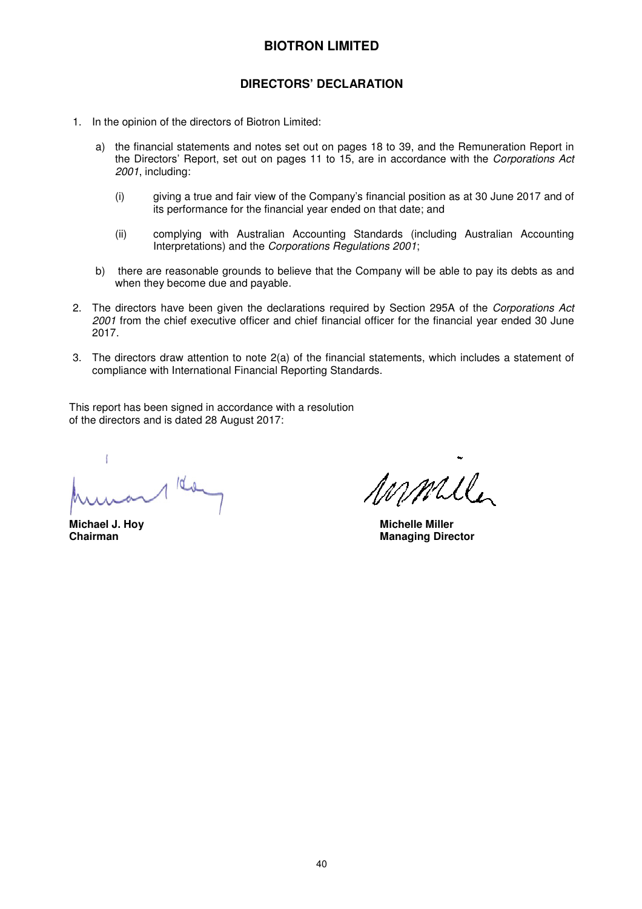## **DIRECTORS' DECLARATION**

- 1. In the opinion of the directors of Biotron Limited:
	- a) the financial statements and notes set out on pages 18 to 39, and the Remuneration Report in the Directors' Report, set out on pages 11 to 15, are in accordance with the *Corporations Act 2001*, including:
		- (i) giving a true and fair view of the Company's financial position as at 30 June 2017 and of its performance for the financial year ended on that date; and
		- (ii) complying with Australian Accounting Standards (including Australian Accounting Interpretations) and the *Corporations Regulations 2001*;
	- b) there are reasonable grounds to believe that the Company will be able to pay its debts as and when they become due and payable.
- 2. The directors have been given the declarations required by Section 295A of the *Corporations Act 2001* from the chief executive officer and chief financial officer for the financial year ended 30 June 2017.
- 3. The directors draw attention to note 2(a) of the financial statements, which includes a statement of compliance with International Financial Reporting Standards.

This report has been signed in accordance with a resolution of the directors and is dated 28 August 2017:

 $10 - 10$ 

mmile

**Michael J. Hoy Nichelle Miller Chairman**<br> **Chairman Managing Director**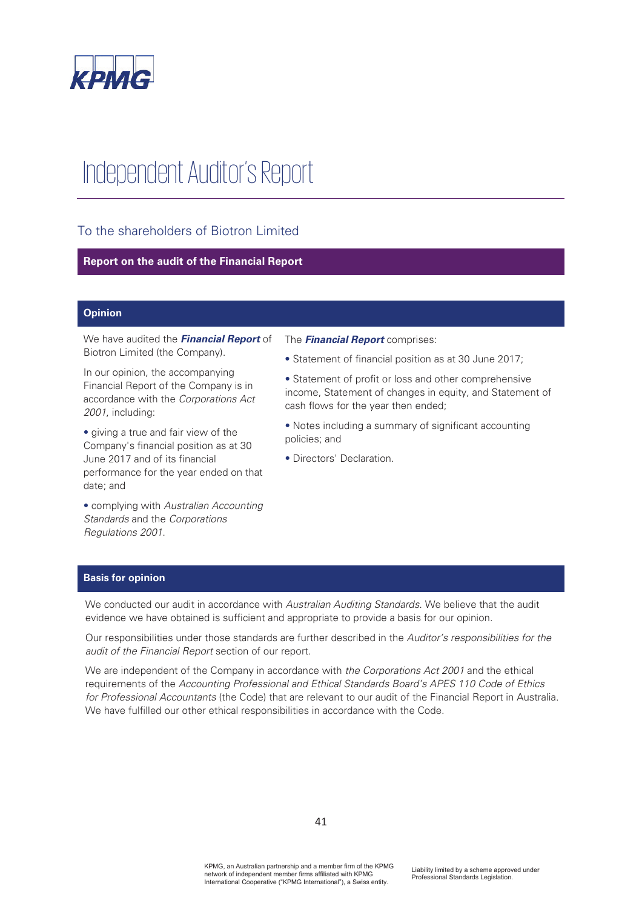

# Independent Auditor's Report

## To the shareholders of Biotron Limited

#### **Report on the audit of the Financial Report**

#### **Opinion**

We have audited the **Financial Report** of Biotron Limited (the Company).

In our opinion, the accompanying Financial Report of the Company is in accordance with the Corporations Act 2001, including:

• giving a true and fair view of the Company's financial position as at 30 June 2017 and of its financial performance for the year ended on that date; and

• complying with Australian Accounting Standards and the Corporations Regulations 2001.

#### The **Financial Report** comprises:

• Statement of financial position as at 30 June 2017;

• Statement of profit or loss and other comprehensive income, Statement of changes in equity, and Statement of cash flows for the year then ended;

• Notes including a summary of significant accounting policies; and

• Directors' Declaration.

#### **Basis for opinion**

We conducted our audit in accordance with Australian Auditing Standards. We believe that the audit evidence we have obtained is sufficient and appropriate to provide a basis for our opinion.

Our responsibilities under those standards are further described in the Auditor's responsibilities for the audit of the Financial Report section of our report.

We are independent of the Company in accordance with the Corporations Act 2001 and the ethical requirements of the Accounting Professional and Ethical Standards Board's APES 110 Code of Ethics for Professional Accountants (the Code) that are relevant to our audit of the Financial Report in Australia. We have fulfilled our other ethical responsibilities in accordance with the Code.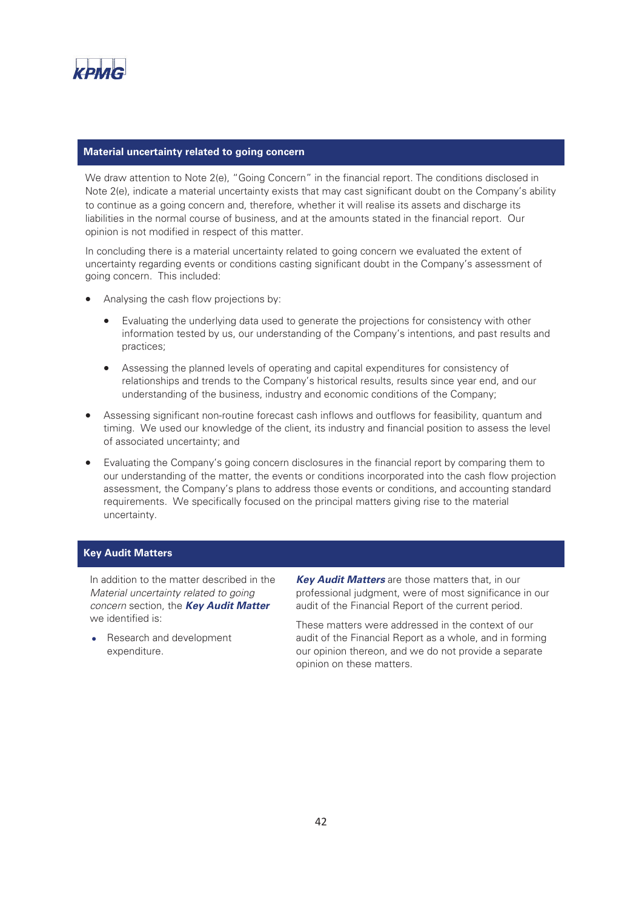

#### **Material uncertainty related to going concern**

We draw attention to Note 2(e), "Going Concern" in the financial report. The conditions disclosed in Note 2(e), indicate a material uncertainty exists that may cast significant doubt on the Company's ability to continue as a going concern and, therefore, whether it will realise its assets and discharge its liabilities in the normal course of business, and at the amounts stated in the financial report. Our opinion is not modified in respect of this matter.

In concluding there is a material uncertainty related to going concern we evaluated the extent of uncertainty regarding events or conditions casting significant doubt in the Company's assessment of going concern. This included:

- Analysing the cash flow projections by:
	- Evaluating the underlying data used to generate the projections for consistency with other information tested by us, our understanding of the Company's intentions, and past results and practices;
	- Assessing the planned levels of operating and capital expenditures for consistency of relationships and trends to the Company's historical results, results since year end, and our understanding of the business, industry and economic conditions of the Company;
- Assessing significant non-routine forecast cash inflows and outflows for feasibility, quantum and timing. We used our knowledge of the client, its industry and financial position to assess the level of associated uncertainty; and
- Evaluating the Company's going concern disclosures in the financial report by comparing them to our understanding of the matter, the events or conditions incorporated into the cash flow projection assessment, the Company's plans to address those events or conditions, and accounting standard requirements. We specifically focused on the principal matters giving rise to the material uncertainty.

#### **Key Audit Matters**

In addition to the matter described in the Material uncertainty related to going concern section, the **Key Audit Matter** we identified is:

Research and development expenditure.

**Key Audit Matters** are those matters that, in our professional judgment, were of most significance in our audit of the Financial Report of the current period.

These matters were addressed in the context of our audit of the Financial Report as a whole, and in forming our opinion thereon, and we do not provide a separate opinion on these matters.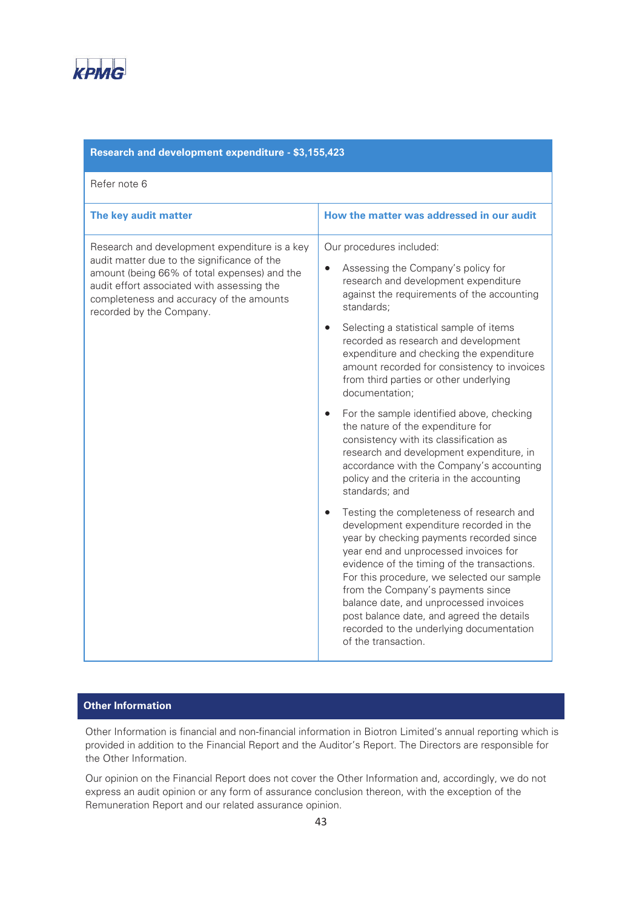

| Research and development expenditure - \$3,155,423                                                                                                                                                                                                                 |                                                                                                                                                                                                                                                                                                                                                                                                                                                                      |  |  |  |  |
|--------------------------------------------------------------------------------------------------------------------------------------------------------------------------------------------------------------------------------------------------------------------|----------------------------------------------------------------------------------------------------------------------------------------------------------------------------------------------------------------------------------------------------------------------------------------------------------------------------------------------------------------------------------------------------------------------------------------------------------------------|--|--|--|--|
| Refer note 6                                                                                                                                                                                                                                                       |                                                                                                                                                                                                                                                                                                                                                                                                                                                                      |  |  |  |  |
| The key audit matter                                                                                                                                                                                                                                               | How the matter was addressed in our audit                                                                                                                                                                                                                                                                                                                                                                                                                            |  |  |  |  |
| Research and development expenditure is a key<br>audit matter due to the significance of the<br>amount (being 66% of total expenses) and the<br>audit effort associated with assessing the<br>completeness and accuracy of the amounts<br>recorded by the Company. | Our procedures included:<br>Assessing the Company's policy for<br>$\bullet$<br>research and development expenditure<br>against the requirements of the accounting<br>standards;                                                                                                                                                                                                                                                                                      |  |  |  |  |
|                                                                                                                                                                                                                                                                    | Selecting a statistical sample of items<br>recorded as research and development<br>expenditure and checking the expenditure<br>amount recorded for consistency to invoices<br>from third parties or other underlying<br>documentation;                                                                                                                                                                                                                               |  |  |  |  |
|                                                                                                                                                                                                                                                                    | For the sample identified above, checking<br>$\bullet$<br>the nature of the expenditure for<br>consistency with its classification as<br>research and development expenditure, in<br>accordance with the Company's accounting<br>policy and the criteria in the accounting<br>standards; and                                                                                                                                                                         |  |  |  |  |
|                                                                                                                                                                                                                                                                    | Testing the completeness of research and<br>development expenditure recorded in the<br>year by checking payments recorded since<br>year end and unprocessed invoices for<br>evidence of the timing of the transactions.<br>For this procedure, we selected our sample<br>from the Company's payments since<br>balance date, and unprocessed invoices<br>post balance date, and agreed the details<br>recorded to the underlying documentation<br>of the transaction. |  |  |  |  |

## **Other Information**

Other Information is financial and non-financial information in Biotron Limited's annual reporting which is provided in addition to the Financial Report and the Auditor's Report. The Directors are responsible for the Other Information.

Our opinion on the Financial Report does not cover the Other Information and, accordingly, we do not express an audit opinion or any form of assurance conclusion thereon, with the exception of the Remuneration Report and our related assurance opinion.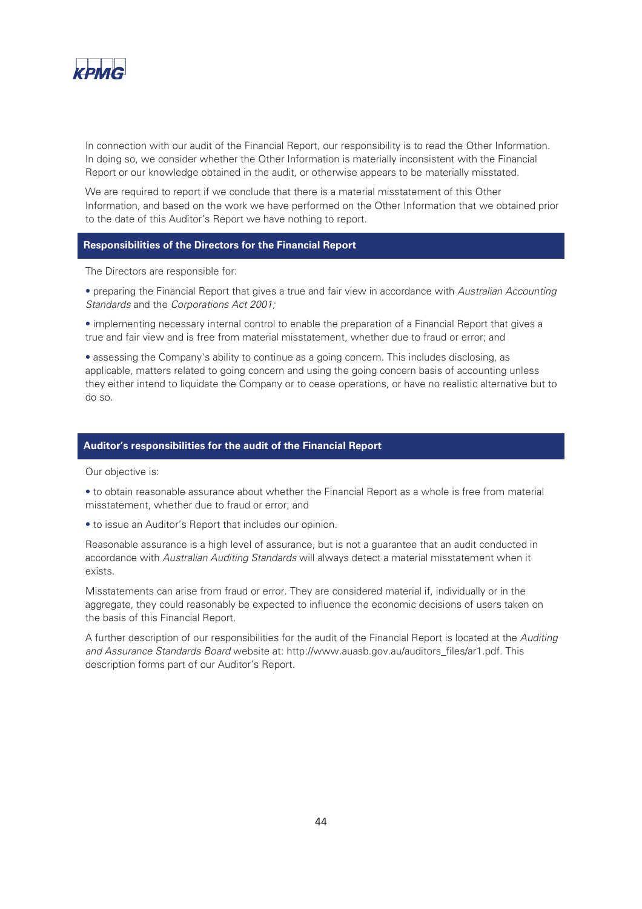

In connection with our audit of the Financial Report, our responsibility is to read the Other Information. In doing so, we consider whether the Other Information is materially inconsistent with the Financial Report or our knowledge obtained in the audit, or otherwise appears to be materially misstated.

We are required to report if we conclude that there is a material misstatement of this Other Information, and based on the work we have performed on the Other Information that we obtained prior to the date of this Auditor's Report we have nothing to report.

#### **Responsibilities of the Directors for the Financial Report**

The Directors are responsible for:

• preparing the Financial Report that gives a true and fair view in accordance with Australian Accounting Standards and the Corporations Act 2001;

• implementing necessary internal control to enable the preparation of a Financial Report that gives a true and fair view and is free from material misstatement, whether due to fraud or error; and

r assessing the Company's ability to continue as a going concern. This includes disclosing, as applicable, matters related to going concern and using the going concern basis of accounting unless they either intend to liquidate the Company or to cease operations, or have no realistic alternative but to do so.

#### **Auditor's responsibilities for the audit of the Financial Report**

Our objective is:

• to obtain reasonable assurance about whether the Financial Report as a whole is free from material misstatement, whether due to fraud or error; and

• to issue an Auditor's Report that includes our opinion.

Reasonable assurance is a high level of assurance, but is not a guarantee that an audit conducted in accordance with Australian Auditing Standards will always detect a material misstatement when it exists.

Misstatements can arise from fraud or error. They are considered material if, individually or in the aggregate, they could reasonably be expected to influence the economic decisions of users taken on the basis of this Financial Report.

A further description of our responsibilities for the audit of the Financial Report is located at the Auditing and Assurance Standards Board website at: http://www.auasb.gov.au/auditors\_files/ar1.pdf. This description forms part of our Auditor's Report.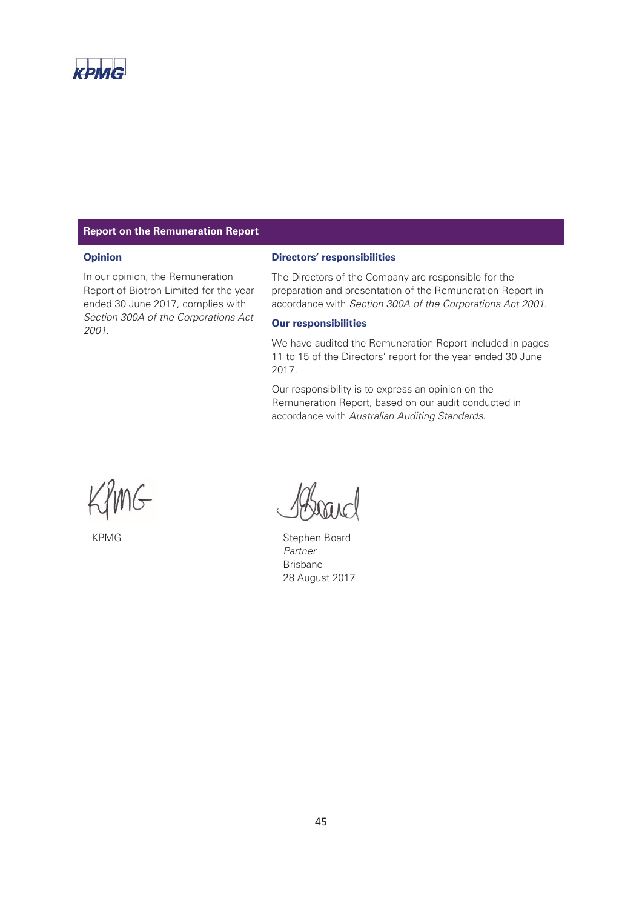

#### **Report on the Remuneration Report**

#### **Opinion**

In our opinion, the Remuneration Report of Biotron Limited for the year ended 30 June 2017, complies with Section 300A of the Corporations Act 2001.

#### **Directors' responsibilities**

The Directors of the Company are responsible for the preparation and presentation of the Remuneration Report in accordance with Section 300A of the Corporations Act 2001.

#### **Our responsibilities**

We have audited the Remuneration Report included in pages 11 to 15 of the Directors' report for the year ended 30 June 2017.

Our responsibility is to express an opinion on the Remuneration Report, based on our audit conducted in accordance with Australian Auditing Standards.

MG

KPMG Stephen Board Partner Brisbane 28 August 2017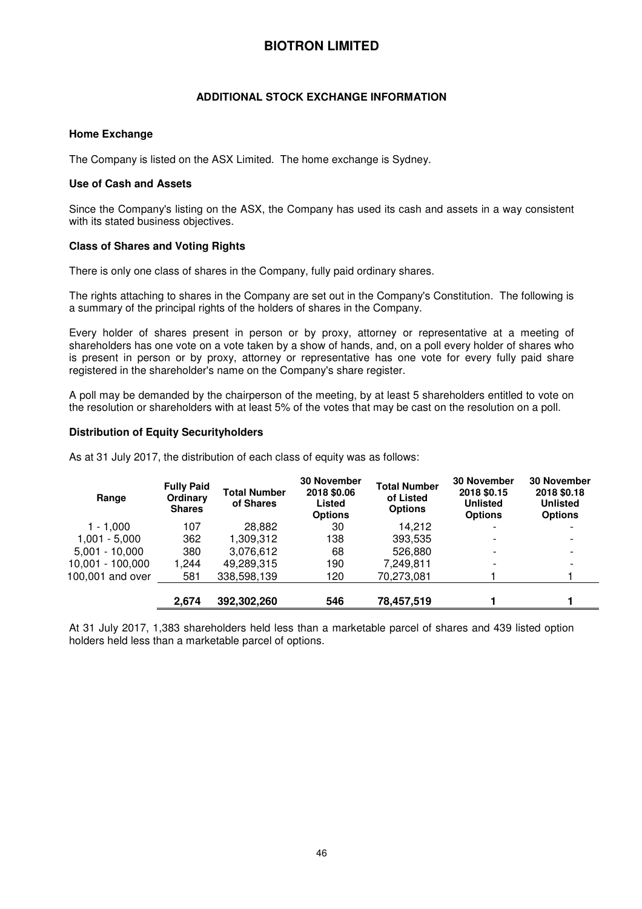#### **ADDITIONAL STOCK EXCHANGE INFORMATION**

#### **Home Exchange**

The Company is listed on the ASX Limited. The home exchange is Sydney.

#### **Use of Cash and Assets**

Since the Company's listing on the ASX, the Company has used its cash and assets in a way consistent with its stated business objectives.

#### **Class of Shares and Voting Rights**

There is only one class of shares in the Company, fully paid ordinary shares.

The rights attaching to shares in the Company are set out in the Company's Constitution. The following is a summary of the principal rights of the holders of shares in the Company.

Every holder of shares present in person or by proxy, attorney or representative at a meeting of shareholders has one vote on a vote taken by a show of hands, and, on a poll every holder of shares who is present in person or by proxy, attorney or representative has one vote for every fully paid share registered in the shareholder's name on the Company's share register.

A poll may be demanded by the chairperson of the meeting, by at least 5 shareholders entitled to vote on the resolution or shareholders with at least 5% of the votes that may be cast on the resolution on a poll.

#### **Distribution of Equity Securityholders**

As at 31 July 2017, the distribution of each class of equity was as follows:

| Range              | <b>Fully Paid</b><br>Ordinary<br><b>Shares</b> | <b>Total Number</b><br>of Shares | <b>30 November</b><br>2018 \$0.06<br>Listed<br><b>Options</b> | <b>Total Number</b><br>of Listed<br><b>Options</b> | <b>30 November</b><br>2018 \$0.15<br><b>Unlisted</b><br><b>Options</b> | <b>30 November</b><br>2018 \$0.18<br><b>Unlisted</b><br><b>Options</b> |
|--------------------|------------------------------------------------|----------------------------------|---------------------------------------------------------------|----------------------------------------------------|------------------------------------------------------------------------|------------------------------------------------------------------------|
| $1 - 1.000$        | 107                                            | 28,882                           | 30                                                            | 14.212                                             | $\overline{\phantom{0}}$                                               |                                                                        |
| $1.001 - 5.000$    | 362                                            | 1,309,312                        | 138                                                           | 393,535                                            |                                                                        | $\overline{\phantom{0}}$                                               |
| $5,001 - 10,000$   | 380                                            | 3,076,612                        | 68                                                            | 526,880                                            | $\overline{\phantom{0}}$                                               | $\overline{\phantom{0}}$                                               |
| $10,001 - 100,000$ | 1,244                                          | 49.289.315                       | 190                                                           | 7,249,811                                          |                                                                        |                                                                        |
| 100,001 and over   | 581                                            | 338,598,139                      | 120                                                           | 70,273,081                                         |                                                                        |                                                                        |
|                    | 2,674                                          | 392,302,260                      | 546                                                           | 78,457,519                                         |                                                                        |                                                                        |

At 31 July 2017, 1,383 shareholders held less than a marketable parcel of shares and 439 listed option holders held less than a marketable parcel of options.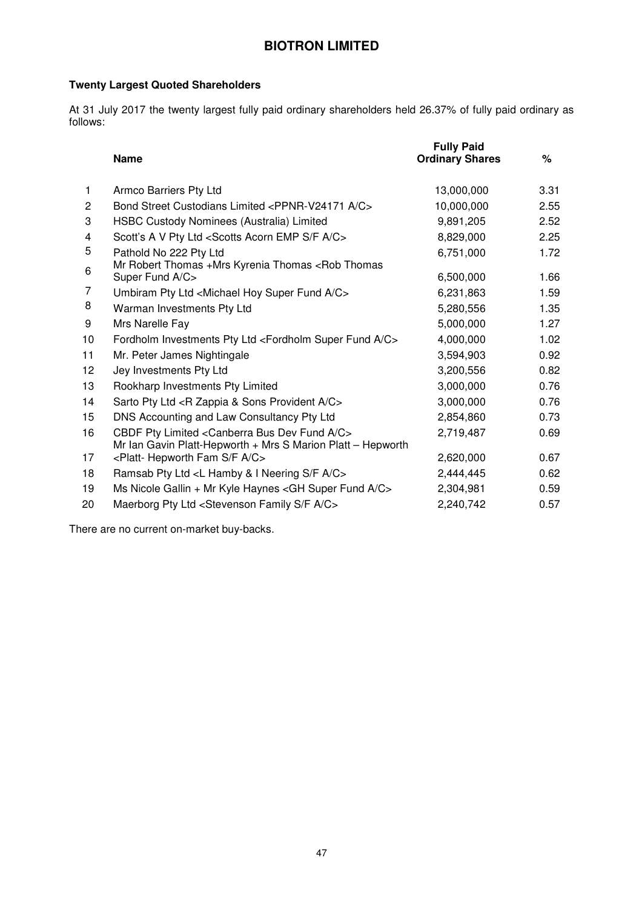## **Twenty Largest Quoted Shareholders**

At 31 July 2017 the twenty largest fully paid ordinary shareholders held 26.37% of fully paid ordinary as follows:

|    | <b>Name</b>                                                                                                                            | <b>Fully Paid</b><br><b>Ordinary Shares</b> | ℅    |
|----|----------------------------------------------------------------------------------------------------------------------------------------|---------------------------------------------|------|
| 1. | Armco Barriers Pty Ltd                                                                                                                 | 13,000,000                                  | 3.31 |
| 2  | Bond Street Custodians Limited <ppnr-v24171 a="" c=""></ppnr-v24171>                                                                   | 10,000,000                                  | 2.55 |
| 3  | HSBC Custody Nominees (Australia) Limited                                                                                              | 9,891,205                                   | 2.52 |
| 4  | Scott's A V Pty Ltd <scotts a="" acorn="" c="" emp="" f="" s=""></scotts>                                                              | 8,829,000                                   | 2.25 |
| 5  | Pathold No 222 Pty Ltd                                                                                                                 | 6,751,000                                   | 1.72 |
| 6  | Mr Robert Thomas +Mrs Kyrenia Thomas <rob thomas<br="">Super Fund A/C&gt;</rob>                                                        | 6,500,000                                   | 1.66 |
| 7  | Umbiram Pty Ltd <michael a="" c="" fund="" hoy="" super=""></michael>                                                                  | 6,231,863                                   | 1.59 |
| 8  | Warman Investments Pty Ltd                                                                                                             | 5,280,556                                   | 1.35 |
| 9  | Mrs Narelle Fay                                                                                                                        | 5,000,000                                   | 1.27 |
| 10 | Fordholm Investments Pty Ltd <fordholm a="" c="" fund="" super=""></fordholm>                                                          | 4,000,000                                   | 1.02 |
| 11 | Mr. Peter James Nightingale                                                                                                            | 3,594,903                                   | 0.92 |
| 12 | Jey Investments Pty Ltd                                                                                                                | 3,200,556                                   | 0.82 |
| 13 | Rookharp Investments Pty Limited                                                                                                       | 3,000,000                                   | 0.76 |
| 14 | Sarto Pty Ltd <r &="" a="" c="" provident="" sons="" zappia=""></r>                                                                    | 3,000,000                                   | 0.76 |
| 15 | DNS Accounting and Law Consultancy Pty Ltd                                                                                             | 2,854,860                                   | 0.73 |
| 16 | CBDF Pty Limited <canberra a="" bus="" c="" dev="" fund=""><br/>Mr Ian Gavin Platt-Hepworth + Mrs S Marion Platt - Hepworth</canberra> | 2,719,487                                   | 0.69 |
| 17 | <platt- a="" c="" f="" fam="" hepworth="" s=""></platt->                                                                               | 2,620,000                                   | 0.67 |
| 18 | Ramsab Pty Ltd <l &="" a="" c="" f="" hamby="" i="" neering="" s=""></l>                                                               | 2,444,445                                   | 0.62 |
| 19 | Ms Nicole Gallin + Mr Kyle Haynes < GH Super Fund A/C>                                                                                 | 2,304,981                                   | 0.59 |
| 20 | Maerborg Pty Ltd <stevenson a="" c="" f="" family="" s=""></stevenson>                                                                 | 2,240,742                                   | 0.57 |

There are no current on-market buy-backs.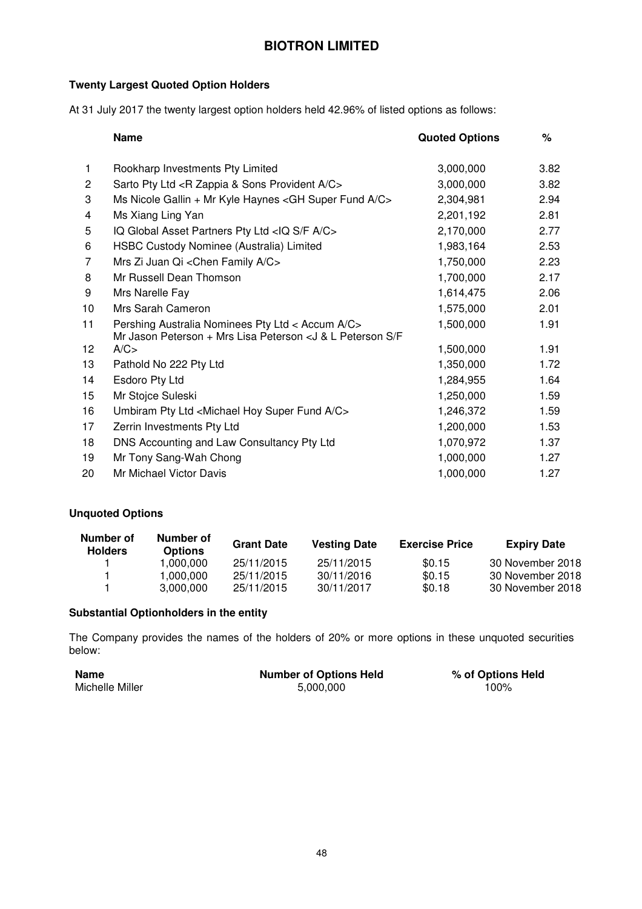## **Twenty Largest Quoted Option Holders**

At 31 July 2017 the twenty largest option holders held 42.96% of listed options as follows:

|                | <b>Name</b>                                                           | <b>Quoted Options</b> | $\%$ |
|----------------|-----------------------------------------------------------------------|-----------------------|------|
| 1.             | Rookharp Investments Pty Limited                                      | 3,000,000             | 3.82 |
| $\overline{c}$ | Sarto Pty Ltd <r &="" a="" c="" provident="" sons="" zappia=""></r>   | 3,000,000             | 3.82 |
| 3              | Ms Nicole Gallin + Mr Kyle Haynes < GH Super Fund A/C>                | 2,304,981             | 2.94 |
| 4              | Ms Xiang Ling Yan                                                     | 2,201,192             | 2.81 |
| 5              | IQ Global Asset Partners Pty Ltd <iq a="" c="" f="" s=""></iq>        | 2,170,000             | 2.77 |
| 6              | HSBC Custody Nominee (Australia) Limited                              | 1,983,164             | 2.53 |
| 7              | Mrs Zi Juan Qi < Chen Family A/C>                                     | 1,750,000             | 2.23 |
| 8              | Mr Russell Dean Thomson                                               | 1,700,000             | 2.17 |
| 9              | Mrs Narelle Fay                                                       | 1,614,475             | 2.06 |
| 10             | Mrs Sarah Cameron                                                     | 1,575,000             | 2.01 |
| 11             | Pershing Australia Nominees Pty Ltd < Accum A/C>                      | 1,500,000             | 1.91 |
|                | Mr Jason Peterson + Mrs Lisa Peterson < J & L Peterson S/F            |                       |      |
| 12             | A/C                                                                   | 1,500,000             | 1.91 |
| 13             | Pathold No 222 Pty Ltd                                                | 1,350,000             | 1.72 |
| 14             | Esdoro Pty Ltd                                                        | 1,284,955             | 1.64 |
| 15             | Mr Stojce Suleski                                                     | 1,250,000             | 1.59 |
| 16             | Umbiram Pty Ltd <michael a="" c="" fund="" hoy="" super=""></michael> | 1,246,372             | 1.59 |
| 17             | Zerrin Investments Pty Ltd                                            | 1,200,000             | 1.53 |
| 18             | DNS Accounting and Law Consultancy Pty Ltd                            | 1,070,972             | 1.37 |
| 19             | Mr Tony Sang-Wah Chong                                                | 1,000,000             | 1.27 |
| 20             | Mr Michael Victor Davis                                               | 1,000,000             | 1.27 |

#### **Unquoted Options**

| Number of<br><b>Holders</b> | Number of<br><b>Options</b> | <b>Grant Date</b> | <b>Vesting Date</b> | <b>Exercise Price</b> | <b>Expiry Date</b> |
|-----------------------------|-----------------------------|-------------------|---------------------|-----------------------|--------------------|
|                             | 1.000.000                   | 25/11/2015        | 25/11/2015          | \$0.15                | 30 November 2018   |
|                             | 1.000.000                   | 25/11/2015        | 30/11/2016          | \$0.15                | 30 November 2018   |
|                             | 3.000.000                   | 25/11/2015        | 30/11/2017          | \$0.18                | 30 November 2018   |

#### **Substantial Optionholders in the entity**

The Company provides the names of the holders of 20% or more options in these unquoted securities below:

| Name            | <b>Number of Options Held</b> | % of Options Held |
|-----------------|-------------------------------|-------------------|
| Michelle Miller | 5.000.000                     | 100%              |